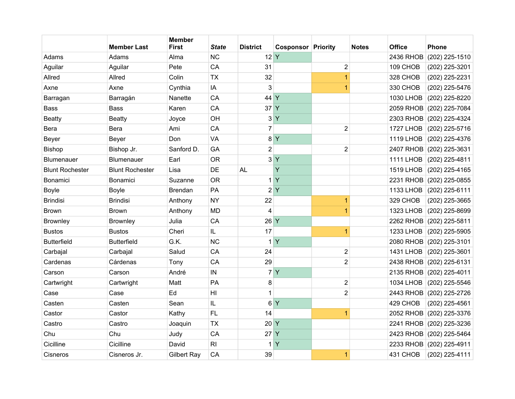|                        | <b>Member Last</b>     | <b>Member</b><br><b>First</b> | <b>State</b>   | <b>District</b> | <b>Cosponsor Priority</b> |                         | <b>Notes</b> | <b>Office</b>    | <b>Phone</b>             |
|------------------------|------------------------|-------------------------------|----------------|-----------------|---------------------------|-------------------------|--------------|------------------|--------------------------|
| Adams                  | Adams                  | Alma                          | <b>NC</b>      | 12 Y            |                           |                         |              | 2436 RHOB        | (202) 225-1510           |
| Aguilar                | Aguilar                | Pete                          | CA             | 31              |                           | $\overline{c}$          |              | 109 CHOB         | (202) 225-3201           |
| Allred                 | Allred                 | Colin                         | <b>TX</b>      | 32              |                           | $\overline{1}$          |              | 328 CHOB         | (202) 225-2231           |
| Axne                   | Axne                   | Cynthia                       | IA             | 3               |                           | 1                       |              | 330 CHOB         | (202) 225-5476           |
| Barragan               | Barragán               | Nanette                       | CA             | 44              | Y                         |                         |              | 1030 LHOB        | (202) 225-8220           |
| <b>Bass</b>            | <b>Bass</b>            | Karen                         | CA             | 37 Y            |                           |                         |              | 2059 RHOB        | $(202)$ 225-7084         |
| <b>Beatty</b>          | <b>Beatty</b>          | Joyce                         | OH             | $3\vert$        | $\mathsf{Y}$              |                         |              |                  | 2303 RHOB (202) 225-4324 |
| Bera                   | Bera                   | Ami                           | CA             | $\overline{7}$  |                           | $\overline{2}$          |              | <b>1727 LHOB</b> | (202) 225-5716           |
| Beyer                  | Beyer                  | Don                           | VA             | 8 <sup>1</sup>  | $\mathsf{Y}$              |                         |              | <b>1119 LHOB</b> | (202) 225-4376           |
| Bishop                 | Bishop Jr.             | Sanford D.                    | GA             | $\overline{c}$  |                           | $\overline{\mathbf{c}}$ |              | 2407 RHOB        | (202) 225-3631           |
| <b>Blumenauer</b>      | <b>Blumenauer</b>      | Earl                          | <b>OR</b>      |                 | 3 <sup>Y</sup>            |                         |              | <b>1111 LHOB</b> | (202) 225-4811           |
| <b>Blunt Rochester</b> | <b>Blunt Rochester</b> | Lisa                          | DE             | <b>AL</b>       | Y                         |                         |              | <b>1519 LHOB</b> | (202) 225-4165           |
| <b>Bonamici</b>        | <b>Bonamici</b>        | Suzanne                       | <b>OR</b>      | 1               | Y                         |                         |              | 2231 RHOB        | (202) 225-0855           |
| <b>Boyle</b>           | <b>Boyle</b>           | <b>Brendan</b>                | PA             | $\overline{2}$  | Y                         |                         |              |                  | 1133 LHOB (202) 225-6111 |
| <b>Brindisi</b>        | <b>Brindisi</b>        | Anthony                       | <b>NY</b>      | 22              |                           | 1                       |              | 329 CHOB         | (202) 225-3665           |
| <b>Brown</b>           | <b>Brown</b>           | Anthony                       | <b>MD</b>      | 4               |                           | 1                       |              | <b>1323 LHOB</b> | (202) 225-8699           |
| <b>Brownley</b>        | <b>Brownley</b>        | Julia                         | CA             | 26 Y            |                           |                         |              |                  | 2262 RHOB (202) 225-5811 |
| <b>Bustos</b>          | <b>Bustos</b>          | Cheri                         | IL             | 17              |                           | 1                       |              | <b>1233 LHOB</b> | (202) 225-5905           |
| <b>Butterfield</b>     | <b>Butterfield</b>     | G.K.                          | <b>NC</b>      | 1               | Y                         |                         |              |                  | 2080 RHOB (202) 225-3101 |
| Carbajal               | Carbajal               | Salud                         | CA             | 24              |                           | $\overline{\mathbf{c}}$ |              | <b>1431 LHOB</b> | (202) 225-3601           |
| Cardenas               | Cárdenas               | Tony                          | CA             | 29              |                           | $\overline{2}$          |              | 2438 RHOB        | $(202)$ 225-6131         |
| Carson                 | Carson                 | André                         | IN             |                 | 7 Y                       |                         |              |                  | 2135 RHOB (202) 225-4011 |
| Cartwright             | Cartwright             | Matt                          | PA             | 8               |                           | 2                       |              | <b>1034 LHOB</b> | (202) 225-5546           |
| Case                   | Case                   | Ed                            | H <sub>l</sub> | 1               |                           | $\overline{2}$          |              | 2443 RHOB        | (202) 225-2726           |
| Casten                 | Casten                 | Sean                          | IL             | 6               | $\mathsf{Y}$              |                         |              | 429 CHOB         | (202) 225-4561           |
| Castor                 | Castor                 | Kathy                         | FL.            | 14              |                           | 1                       |              | <b>2052 RHOB</b> | (202) 225-3376           |
| Castro                 | Castro                 | Joaquin                       | <b>TX</b>      | 20              | Y                         |                         |              | <b>2241 RHOB</b> | (202) 225-3236           |
| Chu                    | Chu                    | Judy                          | CA             | $27$ Y          |                           |                         |              |                  | 2423 RHOB (202) 225-5464 |
| Cicilline              | Cicilline              | David                         | RI             | 1               | $\mathsf{Y}$              |                         |              |                  | 2233 RHOB (202) 225-4911 |
| Cisneros               | Cisneros Jr.           | <b>Gilbert Ray</b>            | CA             | 39              |                           | 1                       |              | 431 CHOB         | (202) 225-4111           |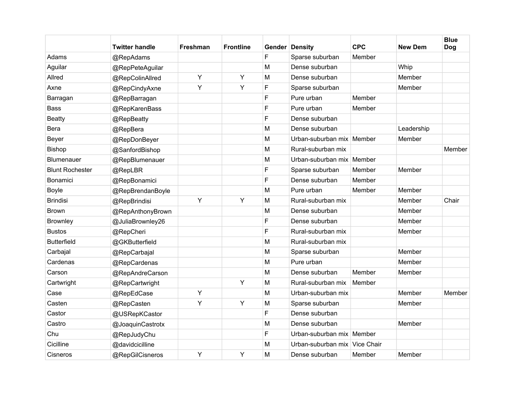|                        | <b>Twitter handle</b> | <b>Freshman</b> | <b>Frontline</b> |             | <b>Gender Density</b>         | <b>CPC</b> | <b>New Dem</b> | <b>Blue</b><br><b>Dog</b> |
|------------------------|-----------------------|-----------------|------------------|-------------|-------------------------------|------------|----------------|---------------------------|
| Adams                  | @RepAdams             |                 |                  | $\mathsf F$ | Sparse suburban               | Member     |                |                           |
| Aguilar                | @RepPeteAguilar       |                 |                  | M           | Dense suburban                |            | Whip           |                           |
| Allred                 | @RepColinAllred       | Y               | Υ                | M           | Dense suburban                |            | Member         |                           |
| Axne                   | @RepCindyAxne         | Υ               | Y                | F           | Sparse suburban               |            | Member         |                           |
| Barragan               | @RepBarragan          |                 |                  | F           | Pure urban                    | Member     |                |                           |
| <b>Bass</b>            | @RepKarenBass         |                 |                  | F           | Pure urban                    | Member     |                |                           |
| <b>Beatty</b>          | @RepBeatty            |                 |                  | F           | Dense suburban                |            |                |                           |
| Bera                   | @RepBera              |                 |                  | M           | Dense suburban                |            | Leadership     |                           |
| Beyer                  | @RepDonBeyer          |                 |                  | M           | Urban-suburban mix   Member   |            | Member         |                           |
| Bishop                 | @SanfordBishop        |                 |                  | M           | Rural-suburban mix            |            |                | Member                    |
| Blumenauer             | @RepBlumenauer        |                 |                  | M           | Urban-suburban mix Member     |            |                |                           |
| <b>Blunt Rochester</b> | @RepLBR               |                 |                  | F           | Sparse suburban               | Member     | Member         |                           |
| Bonamici               | @RepBonamici          |                 |                  | F           | Dense suburban                | Member     |                |                           |
| <b>Boyle</b>           | @RepBrendanBoyle      |                 |                  | M           | Pure urban                    | Member     | Member         |                           |
| <b>Brindisi</b>        | @RepBrindisi          | Y               | Υ                | M           | Rural-suburban mix            |            | Member         | Chair                     |
| <b>Brown</b>           | @RepAnthonyBrown      |                 |                  | M           | Dense suburban                |            | Member         |                           |
| Brownley               | @JuliaBrownley26      |                 |                  | F           | Dense suburban                |            | Member         |                           |
| <b>Bustos</b>          | @RepCheri             |                 |                  | F           | Rural-suburban mix            |            | Member         |                           |
| <b>Butterfield</b>     | @GKButterfield        |                 |                  | M           | Rural-suburban mix            |            |                |                           |
| Carbajal               | @RepCarbajal          |                 |                  | M           | Sparse suburban               |            | Member         |                           |
| Cardenas               | @RepCardenas          |                 |                  | M           | Pure urban                    |            | Member         |                           |
| Carson                 | @RepAndreCarson       |                 |                  | M           | Dense suburban                | Member     | Member         |                           |
| Cartwright             | @RepCartwright        |                 | Y                | M           | Rural-suburban mix            | Member     |                |                           |
| Case                   | @RepEdCase            | Y               |                  | M           | Urban-suburban mix            |            | Member         | Member                    |
| Casten                 | @RepCasten            | Y               | Y                | M           | Sparse suburban               |            | Member         |                           |
| Castor                 | @USRepKCastor         |                 |                  | F           | Dense suburban                |            |                |                           |
| Castro                 | @JoaquinCastrotx      |                 |                  | M           | Dense suburban                |            | Member         |                           |
| Chu                    | @RepJudyChu           |                 |                  | F           | Urban-suburban mix Member     |            |                |                           |
| Cicilline              | @davidcicilline       |                 |                  | M           | Urban-suburban mix Vice Chair |            |                |                           |
| Cisneros               | @RepGilCisneros       | Y               | Y                | M           | Dense suburban                | Member     | Member         |                           |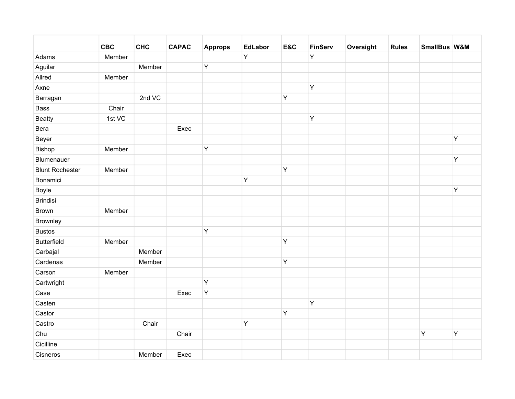|                        | <b>CBC</b> | <b>CHC</b> | <b>CAPAC</b> | <b>Approps</b> | <b>EdLabor</b> | E&C     | <b>FinServ</b> | Oversight | <b>Rules</b> | SmallBus W&M |   |
|------------------------|------------|------------|--------------|----------------|----------------|---------|----------------|-----------|--------------|--------------|---|
| Adams                  | Member     |            |              |                | Y              |         | Υ              |           |              |              |   |
| Aguilar                |            | Member     |              | Y              |                |         |                |           |              |              |   |
| Allred                 | Member     |            |              |                |                |         |                |           |              |              |   |
| Axne                   |            |            |              |                |                |         | Υ              |           |              |              |   |
| Barragan               |            | 2nd VC     |              |                |                | $\sf Y$ |                |           |              |              |   |
| Bass                   | Chair      |            |              |                |                |         |                |           |              |              |   |
| <b>Beatty</b>          | 1st VC     |            |              |                |                |         | Υ              |           |              |              |   |
| Bera                   |            |            | Exec         |                |                |         |                |           |              |              |   |
| Beyer                  |            |            |              |                |                |         |                |           |              |              | Y |
| Bishop                 | Member     |            |              | Y              |                |         |                |           |              |              |   |
| Blumenauer             |            |            |              |                |                |         |                |           |              |              | Y |
| <b>Blunt Rochester</b> | Member     |            |              |                |                | Y       |                |           |              |              |   |
| Bonamici               |            |            |              |                | Υ              |         |                |           |              |              |   |
| Boyle                  |            |            |              |                |                |         |                |           |              |              | Y |
| <b>Brindisi</b>        |            |            |              |                |                |         |                |           |              |              |   |
| <b>Brown</b>           | Member     |            |              |                |                |         |                |           |              |              |   |
| Brownley               |            |            |              |                |                |         |                |           |              |              |   |
| <b>Bustos</b>          |            |            |              | $\mathsf Y$    |                |         |                |           |              |              |   |
| <b>Butterfield</b>     | Member     |            |              |                |                | $\sf Y$ |                |           |              |              |   |
| Carbajal               |            | Member     |              |                |                |         |                |           |              |              |   |
| Cardenas               |            | Member     |              |                |                | Y       |                |           |              |              |   |
| Carson                 | Member     |            |              |                |                |         |                |           |              |              |   |
| Cartwright             |            |            |              | Y              |                |         |                |           |              |              |   |
| Case                   |            |            | Exec         | Y              |                |         |                |           |              |              |   |
| Casten                 |            |            |              |                |                |         | Υ              |           |              |              |   |
| Castor                 |            |            |              |                |                | Υ       |                |           |              |              |   |
| Castro                 |            | Chair      |              |                | Υ              |         |                |           |              |              |   |
| Chu                    |            |            | Chair        |                |                |         |                |           |              | Y            | Y |
| Cicilline              |            |            |              |                |                |         |                |           |              |              |   |
| Cisneros               |            | Member     | Exec         |                |                |         |                |           |              |              |   |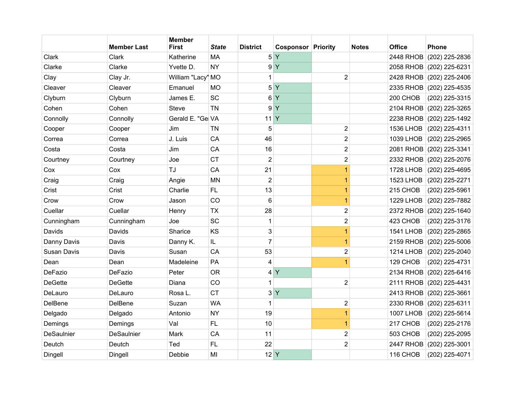|                | <b>Member Last</b> | <b>Member</b><br><b>First</b> | <b>State</b> | <b>District</b> | <b>Cosponsor Priority</b> |                         | <b>Notes</b> | <b>Office</b>    | <b>Phone</b>             |
|----------------|--------------------|-------------------------------|--------------|-----------------|---------------------------|-------------------------|--------------|------------------|--------------------------|
| Clark          | Clark              | Katherine                     | <b>MA</b>    | 5               | Y                         |                         |              | <b>2448 RHOB</b> | (202) 225-2836           |
| Clarke         | Clarke             | Yvette D.                     | <b>NY</b>    | 9               | Y                         |                         |              |                  | 2058 RHOB (202) 225-6231 |
| Clay           | Clay Jr.           | William "Lacy" MO             |              | 1               |                           | $\overline{2}$          |              |                  | 2428 RHOB (202) 225-2406 |
| Cleaver        | Cleaver            | Emanuel                       | <b>MO</b>    | 5               | Y                         |                         |              | 2335 RHOB        | $(202)$ 225-4535         |
| Clyburn        | Clyburn            | James E.                      | <b>SC</b>    | 6               | Y                         |                         |              | 200 CHOB         | (202) 225-3315           |
| Cohen          | Cohen              | <b>Steve</b>                  | <b>TN</b>    | 9               | Y                         |                         |              | 2104 RHOB        | $(202)$ 225-3265         |
| Connolly       | Connolly           | Gerald E. "Ge VA              |              | 11 <sup>Y</sup> |                           |                         |              |                  | 2238 RHOB (202) 225-1492 |
| Cooper         | Cooper             | Jim                           | <b>TN</b>    | 5               |                           | 2                       |              | <b>1536 LHOB</b> | (202) 225-4311           |
| Correa         | Correa             | J. Luis                       | CA           | 46              |                           | $\overline{\mathbf{c}}$ |              | 1039 LHOB        | (202) 225-2965           |
| Costa          | Costa              | Jim                           | CA           | 16              |                           | $\overline{\mathbf{c}}$ |              | 2081 RHOB        | $(202)$ 225-3341         |
| Courtney       | Courtney           | Joe                           | <b>CT</b>    | $\overline{2}$  |                           | $\overline{2}$          |              |                  | 2332 RHOB (202) 225-2076 |
| Cox            | Cox                | TJ                            | CA           | 21              |                           | 1                       |              | <b>1728 LHOB</b> | (202) 225-4695           |
| Craig          | Craig              | Angie                         | <b>MN</b>    | $\overline{2}$  |                           | 1                       |              | <b>1523 LHOB</b> | (202) 225-2271           |
| Crist          | Crist              | Charlie                       | FL           | 13              |                           | 1                       |              | 215 CHOB         | (202) 225-5961           |
| Crow           | Crow               | Jason                         | CO           | 6               |                           | 1                       |              | <b>1229 LHOB</b> | (202) 225-7882           |
| Cuellar        | Cuellar            | Henry                         | <b>TX</b>    | 28              |                           | $\overline{\mathbf{c}}$ |              | 2372 RHOB        | (202) 225-1640           |
| Cunningham     | Cunningham         | Joe                           | SC           | 1               |                           | $\overline{2}$          |              | 423 CHOB         | (202) 225-3176           |
| Davids         | Davids             | Sharice                       | KS           | 3               |                           | 1                       |              | <b>1541 LHOB</b> | (202) 225-2865           |
| Danny Davis    | Davis              | Danny K.                      | IL           | $\overline{7}$  |                           | 1                       |              |                  | 2159 RHOB (202) 225-5006 |
| Susan Davis    | Davis              | Susan                         | CA           | 53              |                           | $\overline{\mathbf{c}}$ |              | <b>1214 LHOB</b> | (202) 225-2040           |
| Dean           | Dean               | Madeleine                     | PA           | 4               |                           | 1                       |              | 129 CHOB         | (202) 225-4731           |
| DeFazio        | DeFazio            | Peter                         | <b>OR</b>    | 4               | $\mathsf{Y}$              |                         |              | 2134 RHOB        | $(202)$ 225-6416         |
| <b>DeGette</b> | <b>DeGette</b>     | Diana                         | CO           | 1               |                           | $\overline{2}$          |              |                  | 2111 RHOB (202) 225-4431 |
| DeLauro        | DeLauro            | Rosa L.                       | <b>CT</b>    | 3               | $\mathsf{Y}$              |                         |              | 2413 RHOB        | (202) 225-3661           |
| DelBene        | DelBene            | Suzan                         | <b>WA</b>    | 1               |                           | $\overline{\mathbf{c}}$ |              |                  | 2330 RHOB (202) 225-6311 |
| Delgado        | Delgado            | Antonio                       | <b>NY</b>    | 19              |                           | $\overline{1}$          |              | <b>1007 LHOB</b> | (202) 225-5614           |
| Demings        | Demings            | Val                           | <b>FL</b>    | 10              |                           | 1                       |              | 217 CHOB         | (202) 225-2176           |
| DeSaulnier     | <b>DeSaulnier</b>  | Mark                          | CA           | 11              |                           | 2                       |              | 503 CHOB         | (202) 225-2095           |
| Deutch         | Deutch             | Ted                           | <b>FL</b>    | 22              |                           | $\overline{2}$          |              | <b>2447 RHOB</b> | (202) 225-3001           |
| Dingell        | Dingell            | Debbie                        | MI           | $12$ Y          |                           |                         |              | 116 CHOB         | (202) 225-4071           |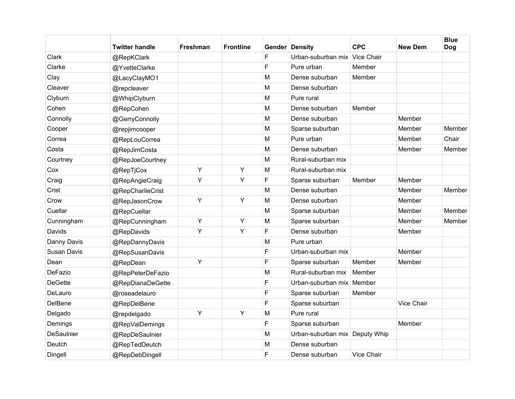|                   | <b>Twitter handle</b> | Freshman | <b>Frontline</b> |   | <b>Gender Density</b>          | <b>CPC</b> | <b>New Dem</b> | <b>Blue</b><br><b>Dog</b> |
|-------------------|-----------------------|----------|------------------|---|--------------------------------|------------|----------------|---------------------------|
| Clark             | @RepKClark            |          |                  | F | Urban-suburban mix Vice Chair  |            |                |                           |
| Clarke            | @YvetteClarke         |          |                  | F | Pure urban                     | Member     |                |                           |
| Clay              | @LacyClayMO1          |          |                  | M | Dense suburban                 | Member     |                |                           |
| Cleaver           | @repcleaver           |          |                  | M | Dense suburban                 |            |                |                           |
| Clyburn           | @WhipClyburn          |          |                  | M | Pure rural                     |            |                |                           |
| Cohen             | @RepCohen             |          |                  | M | Dense suburban                 | Member     |                |                           |
| Connolly          | @GerryConnolly        |          |                  | M | Dense suburban                 |            | Member         |                           |
| Cooper            | @repjimcooper         |          |                  | M | Sparse suburban                |            | Member         | Member                    |
| Correa            | @RepLouCorrea         |          |                  | M | Pure urban                     |            | Member         | Chair                     |
| Costa             | @RepJimCosta          |          |                  | M | Dense suburban                 |            | Member         | Member                    |
| Courtney          | @RepJoeCourtney       |          |                  | M | Rural-suburban mix             |            |                |                           |
| Cox               | @RepTjCox             | Y        | Y                | M | Rural-suburban mix             |            |                |                           |
| Craig             | @RepAngieCraig        | Y        | Y                | F | Sparse suburban                | Member     | Member         |                           |
| Crist             | @RepCharlieCrist      |          |                  | M | Dense suburban                 |            | Member         | Member                    |
| Crow              | @RepJasonCrow         | Y        | Υ                | M | Dense suburban                 |            | Member         |                           |
| Cuellar           | @RepCuellar           |          |                  | M | Sparse suburban                |            | Member         | Member                    |
| Cunningham        | @RepCunningham        | Y        | Y                | M | Sparse suburban                |            | Member         | Member                    |
| Davids            | @RepDavids            | Y        | Υ                | F | Dense suburban                 |            | Member         |                           |
| Danny Davis       | @RepDannyDavis        |          |                  | M | Pure urban                     |            |                |                           |
| Susan Davis       | @RepSusanDavis        |          |                  | F | Urban-suburban mix             |            | Member         |                           |
| Dean              | @RepDean              | Y        |                  | F | Sparse suburban                | Member     | Member         |                           |
| DeFazio           | @RepPeterDeFazio      |          |                  | M | Rural-suburban mix             | Member     |                |                           |
| <b>DeGette</b>    | @RepDianaDeGette      |          |                  | F | Urban-suburban mix             | Member     |                |                           |
| DeLauro           | @roseadelauro         |          |                  | F | Sparse suburban                | Member     |                |                           |
| DelBene           | @RepDelBene           |          |                  | F | Sparse suburban                |            | Vice Chair     |                           |
| Delgado           | @repdelgado           | Y        | Υ                | M | Pure rural                     |            |                |                           |
| Demings           | @RepValDemings        |          |                  | F | Sparse suburban                |            | Member         |                           |
| <b>DeSaulnier</b> | @RepDeSaulnier        |          |                  | M | Urban-suburban mix Deputy Whip |            |                |                           |
| Deutch            | @RepTedDeutch         |          |                  | M | Dense suburban                 |            |                |                           |
| Dingell           | @RepDebDingell        |          |                  | F | Dense suburban                 | Vice Chair |                |                           |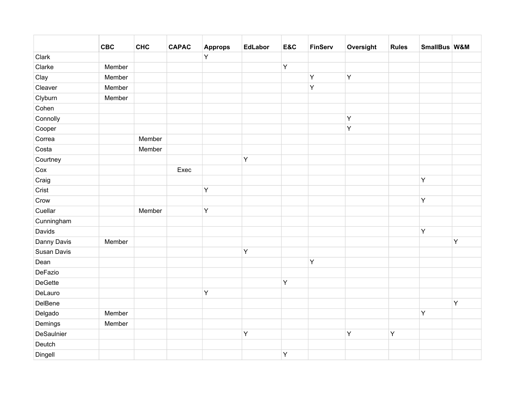|                | <b>CBC</b> | <b>CHC</b> | <b>CAPAC</b> | <b>Approps</b> | <b>EdLabor</b> | E&C | <b>FinServ</b> | Oversight | <b>Rules</b> | SmallBus W&M |   |
|----------------|------------|------------|--------------|----------------|----------------|-----|----------------|-----------|--------------|--------------|---|
| Clark          |            |            |              | Y              |                |     |                |           |              |              |   |
| Clarke         | Member     |            |              |                |                | Υ   |                |           |              |              |   |
| Clay           | Member     |            |              |                |                |     | Υ              | Y         |              |              |   |
| Cleaver        | Member     |            |              |                |                |     | Υ              |           |              |              |   |
| Clyburn        | Member     |            |              |                |                |     |                |           |              |              |   |
| Cohen          |            |            |              |                |                |     |                |           |              |              |   |
| Connolly       |            |            |              |                |                |     |                | Y         |              |              |   |
| Cooper         |            |            |              |                |                |     |                | Y         |              |              |   |
| Correa         |            | Member     |              |                |                |     |                |           |              |              |   |
| Costa          |            | Member     |              |                |                |     |                |           |              |              |   |
| Courtney       |            |            |              |                | Y              |     |                |           |              |              |   |
| Cox            |            |            | Exec         |                |                |     |                |           |              |              |   |
| Craig          |            |            |              |                |                |     |                |           |              | Y            |   |
| Crist          |            |            |              | $\mathsf Y$    |                |     |                |           |              |              |   |
| Crow           |            |            |              |                |                |     |                |           |              | Υ            |   |
| Cuellar        |            | Member     |              | Y              |                |     |                |           |              |              |   |
| Cunningham     |            |            |              |                |                |     |                |           |              |              |   |
| Davids         |            |            |              |                |                |     |                |           |              | Y            |   |
| Danny Davis    | Member     |            |              |                |                |     |                |           |              |              | Y |
| Susan Davis    |            |            |              |                | Y              |     |                |           |              |              |   |
| Dean           |            |            |              |                |                |     | Υ              |           |              |              |   |
| DeFazio        |            |            |              |                |                |     |                |           |              |              |   |
| <b>DeGette</b> |            |            |              |                |                | Υ   |                |           |              |              |   |
| DeLauro        |            |            |              | Y              |                |     |                |           |              |              |   |
| DelBene        |            |            |              |                |                |     |                |           |              |              | Y |
| Delgado        | Member     |            |              |                |                |     |                |           |              | Υ            |   |
| Demings        | Member     |            |              |                |                |     |                |           |              |              |   |
| DeSaulnier     |            |            |              |                | Y              |     |                | Y         | Y            |              |   |
| Deutch         |            |            |              |                |                |     |                |           |              |              |   |
| Dingell        |            |            |              |                |                | Υ   |                |           |              |              |   |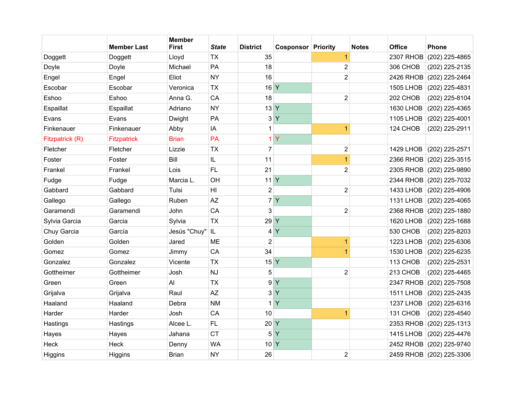|                 | <b>Member Last</b> | <b>Member</b><br><b>First</b> | <b>State</b>   | <b>District</b> | <b>Cosponsor Priority</b> |                         | <b>Notes</b> | <b>Office</b>    | <b>Phone</b>             |
|-----------------|--------------------|-------------------------------|----------------|-----------------|---------------------------|-------------------------|--------------|------------------|--------------------------|
| Doggett         | Doggett            | Lloyd                         | <b>TX</b>      | 35              |                           | $\overline{1}$          |              | <b>2307 RHOB</b> | (202) 225-4865           |
| Doyle           | Doyle              | Michael                       | PA             | 18              |                           | $\overline{2}$          |              | 306 CHOB         | (202) 225-2135           |
| Engel           | Engel              | Eliot                         | <b>NY</b>      | 16              |                           | $\overline{2}$          |              | 2426 RHOB        | (202) 225-2464           |
| Escobar         | Escobar            | Veronica                      | <b>TX</b>      | 16 Y            |                           |                         |              | <b>1505 LHOB</b> | (202) 225-4831           |
| Eshoo           | Eshoo              | Anna G.                       | CA             | 18              |                           | $\overline{\mathbf{c}}$ |              | 202 CHOB         | (202) 225-8104           |
| Espaillat       | Espaillat          | Adriano                       | <b>NY</b>      | $13$ Y          |                           |                         |              | <b>1630 LHOB</b> | (202) 225-4365           |
| Evans           | Evans              | Dwight                        | PA             | 3               | Y                         |                         |              | <b>1105 LHOB</b> | (202) 225-4001           |
| Finkenauer      | Finkenauer         | Abby                          | IA             | 1               |                           | $\overline{1}$          |              | 124 CHOB         | (202) 225-2911           |
| Fitzpatrick (R) | <b>Fitzpatrick</b> | <b>Brian</b>                  | PA             | 1               | Ÿ                         |                         |              |                  |                          |
| Fletcher        | Fletcher           | Lizzie                        | <b>TX</b>      | $\overline{7}$  |                           | $\mathbf 2$             |              | <b>1429 LHOB</b> | (202) 225-2571           |
| Foster          | Foster             | Bill                          | IL             | 11              |                           | $\overline{1}$          |              | 2366 RHOB        | $(202)$ 225-3515         |
| Frankel         | Frankel            | Lois                          | <b>FL</b>      | 21              |                           | $\overline{2}$          |              |                  | 2305 RHOB (202) 225-9890 |
| Fudge           | Fudge              | Marcia L.                     | OH             | 11 <sup>Y</sup> |                           |                         |              | 2344 RHOB        | (202) 225-7032           |
| Gabbard         | Gabbard            | Tulsi                         | H <sub>l</sub> | $\overline{2}$  |                           | $\overline{2}$          |              | 1433 LHOB        | (202) 225-4906           |
| Gallego         | Gallego            | Ruben                         | AZ             | $\overline{7}$  | <b>Y</b>                  |                         |              | <b>1131 LHOB</b> | (202) 225-4065           |
| Garamendi       | Garamendi          | John                          | CA             | 3               |                           | $\overline{\mathbf{c}}$ |              | 2368 RHOB        | (202) 225-1880           |
| Sylvia Garcia   | Garcia             | Sylvia                        | <b>TX</b>      | 29              | Y                         |                         |              | <b>1620 LHOB</b> | (202) 225-1688           |
| Chuy Garcia     | García             | Jesús "Chuy"   IL             |                | 4               | Y                         |                         |              | 530 CHOB         | (202) 225-8203           |
| Golden          | Golden             | Jared                         | <b>ME</b>      | $\overline{c}$  |                           | $\overline{1}$          |              | <b>1223 LHOB</b> | (202) 225-6306           |
| Gomez           | Gomez              | Jimmy                         | CA             | 34              |                           | $\overline{1}$          |              | <b>1530 LHOB</b> | (202) 225-6235           |
| Gonzalez        | Gonzalez           | Vicente                       | <b>TX</b>      | 15              | $\mathsf{Y}$              |                         |              | 113 CHOB         | (202) 225-2531           |
| Gottheimer      | Gottheimer         | Josh                          | NJ             | 5               |                           | $\overline{2}$          |              | 213 CHOB         | (202) 225-4465           |
| Green           | Green              | Al                            | <b>TX</b>      | 9               | $\mathsf{Y}$              |                         |              | <b>2347 RHOB</b> | (202) 225-7508           |
| Grijalva        | Grijalva           | Raul                          | <b>AZ</b>      | 3               | Y                         |                         |              | <b>1511 LHOB</b> | (202) 225-2435           |
| Haaland         | Haaland            | Debra                         | <b>NM</b>      | 1               | Y                         |                         |              | <b>1237 LHOB</b> | $(202)$ 225-6316         |
| Harder          | Harder             | Josh                          | CA             | 10              |                           | 1                       |              | 131 CHOB         | (202) 225-4540           |
| Hastings        | Hastings           | Alcee L.                      | FL             | 20              | Y                         |                         |              | <b>2353 RHOB</b> | $(202)$ 225-1313         |
| Hayes           | Hayes              | Jahana                        | <b>CT</b>      | 5               | Y                         |                         |              | <b>1415 LHOB</b> | (202) 225-4476           |
| Heck            | <b>Heck</b>        | Denny                         | <b>WA</b>      | 10 <sup>Y</sup> |                           |                         |              |                  | 2452 RHOB (202) 225-9740 |
| Higgins         | Higgins            | <b>Brian</b>                  | <b>NY</b>      | 26              |                           | $\overline{2}$          |              |                  | 2459 RHOB (202) 225-3306 |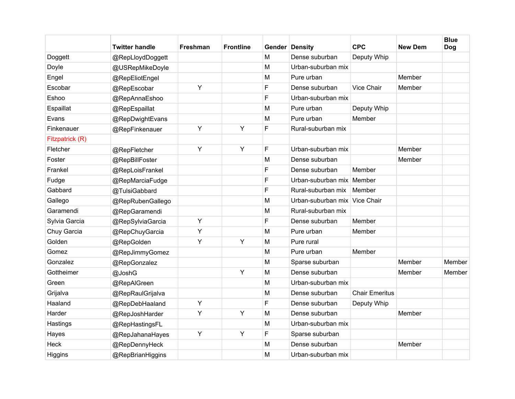|                 | <b>Twitter handle</b> | Freshman | <b>Frontline</b> |   | <b>Gender Density</b>       | <b>CPC</b>            | <b>New Dem</b> | <b>Blue</b><br><b>Dog</b> |
|-----------------|-----------------------|----------|------------------|---|-----------------------------|-----------------------|----------------|---------------------------|
| Doggett         | @RepLloydDoggett      |          |                  | M | Dense suburban              | Deputy Whip           |                |                           |
| Doyle           | @USRepMikeDoyle       |          |                  | M | Urban-suburban mix          |                       |                |                           |
| Engel           | @RepEliotEngel        |          |                  | M | Pure urban                  |                       | Member         |                           |
| Escobar         | @RepEscobar           | Y        |                  | F | Dense suburban              | Vice Chair            | Member         |                           |
| Eshoo           | @RepAnnaEshoo         |          |                  | F | Urban-suburban mix          |                       |                |                           |
| Espaillat       | @RepEspaillat         |          |                  | M | Pure urban                  | Deputy Whip           |                |                           |
| Evans           | @RepDwightEvans       |          |                  | M | Pure urban                  | Member                |                |                           |
| Finkenauer      | @RepFinkenauer        | Y        | Υ                | F | Rural-suburban mix          |                       |                |                           |
| Fitzpatrick (R) |                       |          |                  |   |                             |                       |                |                           |
| Fletcher        | @RepFletcher          | Y        | Υ                | F | Urban-suburban mix          |                       | Member         |                           |
| Foster          | @RepBillFoster        |          |                  | M | Dense suburban              |                       | Member         |                           |
| Frankel         | @RepLoisFrankel       |          |                  | F | Dense suburban              | Member                |                |                           |
| Fudge           | @RepMarciaFudge       |          |                  | F | Urban-suburban mix   Member |                       |                |                           |
| Gabbard         | @TulsiGabbard         |          |                  | F | Rural-suburban mix          | Member                |                |                           |
| Gallego         | @RepRubenGallego      |          |                  | M | Urban-suburban mix          | Vice Chair            |                |                           |
| Garamendi       | @RepGaramendi         |          |                  | M | Rural-suburban mix          |                       |                |                           |
| Sylvia Garcia   | @RepSylviaGarcia      | Y        |                  | F | Dense suburban              | Member                |                |                           |
| Chuy Garcia     | @RepChuyGarcia        | Υ        |                  | м | Pure urban                  | Member                |                |                           |
| Golden          | @RepGolden            | Y        | Y                | M | Pure rural                  |                       |                |                           |
| Gomez           | @RepJimmyGomez        |          |                  | M | Pure urban                  | Member                |                |                           |
| Gonzalez        | @RepGonzalez          |          |                  | M | Sparse suburban             |                       | Member         | Member                    |
| Gottheimer      | @JoshG                |          | Υ                | M | Dense suburban              |                       | Member         | Member                    |
| Green           | @RepAlGreen           |          |                  | M | Urban-suburban mix          |                       |                |                           |
| Grijalva        | @RepRaulGrijalva      |          |                  | M | Dense suburban              | <b>Chair Emeritus</b> |                |                           |
| Haaland         | @RepDebHaaland        | Y        |                  | F | Dense suburban              | Deputy Whip           |                |                           |
| Harder          | @RepJoshHarder        | Y        | Y                | M | Dense suburban              |                       | Member         |                           |
| Hastings        | @RepHastingsFL        |          |                  | M | Urban-suburban mix          |                       |                |                           |
| Hayes           | @RepJahanaHayes       | Υ        | Y                | F | Sparse suburban             |                       |                |                           |
| Heck            | @RepDennyHeck         |          |                  | M | Dense suburban              |                       | Member         |                           |
| Higgins         | @RepBrianHiggins      |          |                  | M | Urban-suburban mix          |                       |                |                           |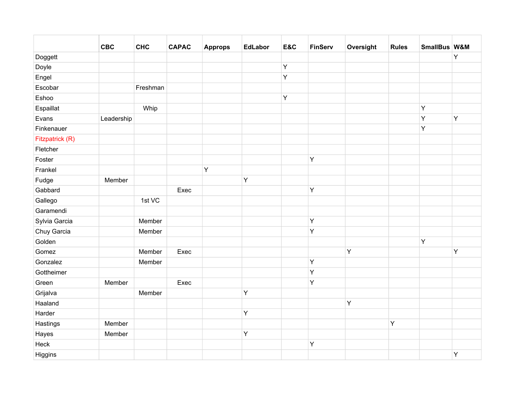|                 | <b>CBC</b> | <b>CHC</b> | <b>CAPAC</b> | <b>Approps</b> | <b>EdLabor</b> | E&C     | <b>FinServ</b> | Oversight | <b>Rules</b> | SmallBus W&M |   |
|-----------------|------------|------------|--------------|----------------|----------------|---------|----------------|-----------|--------------|--------------|---|
| Doggett         |            |            |              |                |                |         |                |           |              |              | Υ |
| Doyle           |            |            |              |                |                | $\sf Y$ |                |           |              |              |   |
| Engel           |            |            |              |                |                | $\sf Y$ |                |           |              |              |   |
| Escobar         |            | Freshman   |              |                |                |         |                |           |              |              |   |
| Eshoo           |            |            |              |                |                | Y       |                |           |              |              |   |
| Espaillat       |            | Whip       |              |                |                |         |                |           |              | Υ            |   |
| Evans           | Leadership |            |              |                |                |         |                |           |              | Υ            | Y |
| Finkenauer      |            |            |              |                |                |         |                |           |              | Y            |   |
| Fitzpatrick (R) |            |            |              |                |                |         |                |           |              |              |   |
| Fletcher        |            |            |              |                |                |         |                |           |              |              |   |
| Foster          |            |            |              |                |                |         | Υ              |           |              |              |   |
| Frankel         |            |            |              | $\mathsf Y$    |                |         |                |           |              |              |   |
| Fudge           | Member     |            |              |                | Υ              |         |                |           |              |              |   |
| Gabbard         |            |            | Exec         |                |                |         | Υ              |           |              |              |   |
| Gallego         |            | 1st VC     |              |                |                |         |                |           |              |              |   |
| Garamendi       |            |            |              |                |                |         |                |           |              |              |   |
| Sylvia Garcia   |            | Member     |              |                |                |         | Υ              |           |              |              |   |
| Chuy Garcia     |            | Member     |              |                |                |         | Υ              |           |              |              |   |
| Golden          |            |            |              |                |                |         |                |           |              | Y            |   |
| Gomez           |            | Member     | Exec         |                |                |         |                | Y         |              |              | Y |
| Gonzalez        |            | Member     |              |                |                |         | Υ              |           |              |              |   |
| Gottheimer      |            |            |              |                |                |         | Υ              |           |              |              |   |
| Green           | Member     |            | Exec         |                |                |         | Υ              |           |              |              |   |
| Grijalva        |            | Member     |              |                | Y              |         |                |           |              |              |   |
| Haaland         |            |            |              |                |                |         |                | Y         |              |              |   |
| Harder          |            |            |              |                | Υ              |         |                |           |              |              |   |
| Hastings        | Member     |            |              |                |                |         |                |           | Y            |              |   |
| Hayes           | Member     |            |              |                | Υ              |         |                |           |              |              |   |
| Heck            |            |            |              |                |                |         | Υ              |           |              |              |   |
| Higgins         |            |            |              |                |                |         |                |           |              |              | Y |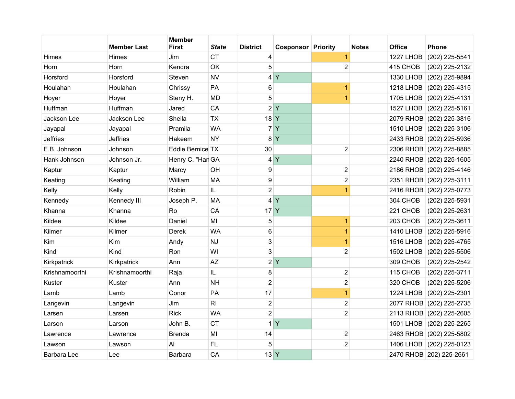|                 | <b>Member Last</b> | <b>Member</b><br><b>First</b> | <b>State</b>   | <b>District</b> | <b>Cosponsor Priority</b> |                         | <b>Notes</b> | <b>Office</b>    | <b>Phone</b>             |
|-----------------|--------------------|-------------------------------|----------------|-----------------|---------------------------|-------------------------|--------------|------------------|--------------------------|
| Himes           | Himes              | Jim                           | <b>CT</b>      | 4               |                           | 1                       |              | <b>1227 LHOB</b> | (202) 225-5541           |
| Horn            | Horn               | Kendra                        | <b>OK</b>      | 5               |                           | $\overline{2}$          |              | 415 CHOB         | (202) 225-2132           |
| Horsford        | Horsford           | Steven                        | <b>NV</b>      | 4               | $\mathsf{Y}$              |                         |              | 1330 LHOB        | (202) 225-9894           |
| Houlahan        | Houlahan           | Chrissy                       | PA             | 6               |                           | 1                       |              | <b>1218 LHOB</b> | (202) 225-4315           |
| Hoyer           | Hoyer              | Steny H.                      | <b>MD</b>      | 5               |                           | 1                       |              | <b>1705 LHOB</b> | (202) 225-4131           |
| Huffman         | Huffman            | Jared                         | CA             |                 | 2 Y                       |                         |              | <b>1527 LHOB</b> | $(202)$ 225-5161         |
| Jackson Lee     | Jackson Lee        | Sheila                        | <b>TX</b>      | 18 Y            |                           |                         |              |                  | 2079 RHOB (202) 225-3816 |
| Jayapal         | Jayapal            | Pramila                       | <b>WA</b>      | $\overline{7}$  | Y                         |                         |              | <b>1510 LHOB</b> | $(202)$ 225-3106         |
| <b>Jeffries</b> | <b>Jeffries</b>    | Hakeem                        | <b>NY</b>      | 8               | Y                         |                         |              |                  | 2433 RHOB (202) 225-5936 |
| E.B. Johnson    | Johnson            | Eddie Bernice TX              |                | 30              |                           | $\overline{\mathbf{c}}$ |              |                  | 2306 RHOB (202) 225-8885 |
| Hank Johnson    | Johnson Jr.        | Henry C. "Har GA              |                |                 | 4Y                        |                         |              |                  | 2240 RHOB (202) 225-1605 |
| Kaptur          | Kaptur             | Marcy                         | OH             | 9               |                           | $\overline{2}$          |              |                  | 2186 RHOB (202) 225-4146 |
| Keating         | Keating            | William                       | <b>MA</b>      | 9               |                           | $\overline{2}$          |              |                  | 2351 RHOB (202) 225-3111 |
| Kelly           | Kelly              | Robin                         | IL             | $\overline{2}$  |                           | $\overline{1}$          |              |                  | 2416 RHOB (202) 225-0773 |
| Kennedy         | Kennedy III        | Joseph P.                     | <b>MA</b>      | 4               | <b>Y</b>                  |                         |              | 304 CHOB         | (202) 225-5931           |
| Khanna          | Khanna             | Ro                            | CA             | 17              | Y                         |                         |              | 221 CHOB         | (202) 225-2631           |
| Kildee          | Kildee             | Daniel                        | MI             | 5               |                           | 1                       |              | 203 CHOB         | (202) 225-3611           |
| Kilmer          | Kilmer             | <b>Derek</b>                  | <b>WA</b>      | 6               |                           | 1                       |              | <b>1410 LHOB</b> | (202) 225-5916           |
| Kim             | Kim                | Andy                          | <b>NJ</b>      | 3               |                           | 1                       |              | <b>1516 LHOB</b> | (202) 225-4765           |
| Kind            | Kind               | Ron                           | WI             | 3               |                           | $\overline{2}$          |              | <b>1502 LHOB</b> | (202) 225-5506           |
| Kirkpatrick     | Kirkpatrick        | Ann                           | <b>AZ</b>      | $\overline{2}$  | Y                         |                         |              | 309 CHOB         | (202) 225-2542           |
| Krishnamoorthi  | Krishnamoorthi     | Raja                          | IL             | 8               |                           | 2                       |              | 115 CHOB         | (202) 225-3711           |
| Kuster          | Kuster             | Ann                           | <b>NH</b>      | $\overline{2}$  |                           | $\overline{2}$          |              | 320 CHOB         | (202) 225-5206           |
| Lamb            | Lamb               | Conor                         | PA             | 17              |                           | $\overline{1}$          |              | <b>1224 LHOB</b> | (202) 225-2301           |
| Langevin        | Langevin           | Jim                           | R <sub>l</sub> | $\overline{2}$  |                           | $\overline{2}$          |              |                  | 2077 RHOB (202) 225-2735 |
| Larsen          | Larsen             | <b>Rick</b>                   | <b>WA</b>      | $\overline{2}$  |                           | $\overline{2}$          |              |                  | 2113 RHOB (202) 225-2605 |
| Larson          | Larson             | John B.                       | <b>CT</b>      | 1               | Y                         |                         |              | <b>1501 LHOB</b> | (202) 225-2265           |
| Lawrence        | Lawrence           | <b>Brenda</b>                 | MI             | 14              |                           | $\overline{2}$          |              |                  | 2463 RHOB (202) 225-5802 |
| Lawson          | Lawson             | AI                            | <b>FL</b>      | 5               |                           | $\overline{2}$          |              | <b>1406 LHOB</b> | $(202)$ 225-0123         |
| Barbara Lee     | Lee                | Barbara                       | CA             | 13 <sup>Y</sup> |                           |                         |              |                  | 2470 RHOB 202) 225-2661  |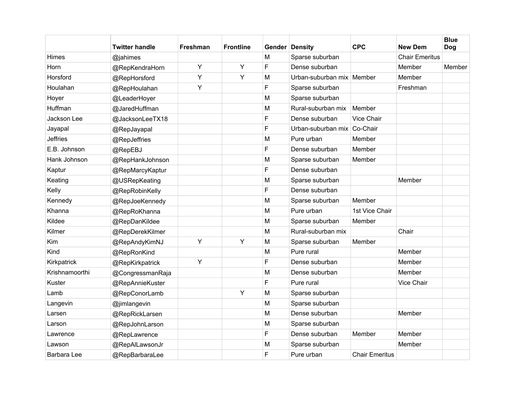|                 | Twitter handle   | <b>Freshman</b> | <b>Frontline</b> |   | <b>Gender Density</b>     | <b>CPC</b>            | <b>New Dem</b>        | <b>Blue</b><br>Dog |
|-----------------|------------------|-----------------|------------------|---|---------------------------|-----------------------|-----------------------|--------------------|
| Himes           | @jahimes         |                 |                  | M | Sparse suburban           |                       | <b>Chair Emeritus</b> |                    |
| Horn            | @RepKendraHorn   | Y               | Y                | F | Dense suburban            |                       | Member                | Member             |
| Horsford        | @RepHorsford     | Y               | Y                | M | Urban-suburban mix Member |                       | Member                |                    |
| Houlahan        | @RepHoulahan     | Y               |                  | F | Sparse suburban           |                       | Freshman              |                    |
| Hoyer           | @LeaderHoyer     |                 |                  | M | Sparse suburban           |                       |                       |                    |
| Huffman         | @JaredHuffman    |                 |                  | M | Rural-suburban mix        | Member                |                       |                    |
| Jackson Lee     | @JacksonLeeTX18  |                 |                  | F | Dense suburban            | Vice Chair            |                       |                    |
| Jayapal         | @RepJayapal      |                 |                  | F | Urban-suburban mix        | Co-Chair              |                       |                    |
| <b>Jeffries</b> | @RepJeffries     |                 |                  | M | Pure urban                | Member                |                       |                    |
| E.B. Johnson    | @RepEBJ          |                 |                  | F | Dense suburban            | Member                |                       |                    |
| Hank Johnson    | @RepHankJohnson  |                 |                  | M | Sparse suburban           | Member                |                       |                    |
| Kaptur          | @RepMarcyKaptur  |                 |                  | F | Dense suburban            |                       |                       |                    |
| Keating         | @USRepKeating    |                 |                  | M | Sparse suburban           |                       | Member                |                    |
| Kelly           | @RepRobinKelly   |                 |                  | F | Dense suburban            |                       |                       |                    |
| Kennedy         | @RepJoeKennedy   |                 |                  | M | Sparse suburban           | Member                |                       |                    |
| Khanna          | @RepRoKhanna     |                 |                  | M | Pure urban                | 1st Vice Chair        |                       |                    |
| Kildee          | @RepDanKildee    |                 |                  | м | Sparse suburban           | Member                |                       |                    |
| Kilmer          | @RepDerekKilmer  |                 |                  | M | Rural-suburban mix        |                       | Chair                 |                    |
| Kim             | @RepAndyKimNJ    | Y               | Y                | M | Sparse suburban           | Member                |                       |                    |
| Kind            | @RepRonKind      |                 |                  | M | Pure rural                |                       | Member                |                    |
| Kirkpatrick     | @RepKirkpatrick  | Y               |                  | F | Dense suburban            |                       | Member                |                    |
| Krishnamoorthi  | @CongressmanRaja |                 |                  | M | Dense suburban            |                       | Member                |                    |
| Kuster          | @RepAnnieKuster  |                 |                  | F | Pure rural                |                       | Vice Chair            |                    |
| Lamb            | @RepConorLamb    |                 | Y                | M | Sparse suburban           |                       |                       |                    |
| Langevin        | @jimlangevin     |                 |                  | M | Sparse suburban           |                       |                       |                    |
| Larsen          | @RepRickLarsen   |                 |                  | M | Dense suburban            |                       | Member                |                    |
| Larson          | @RepJohnLarson   |                 |                  | M | Sparse suburban           |                       |                       |                    |
| Lawrence        | @RepLawrence     |                 |                  | F | Dense suburban            | Member                | Member                |                    |
| Lawson          | @RepAlLawsonJr   |                 |                  | M | Sparse suburban           |                       | Member                |                    |
| Barbara Lee     | @RepBarbaraLee   |                 |                  | F | Pure urban                | <b>Chair Emeritus</b> |                       |                    |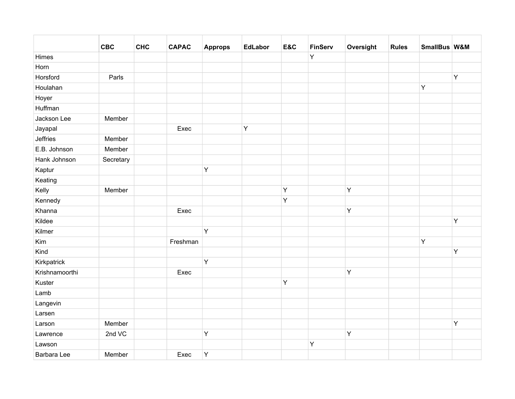|                | <b>CBC</b> | <b>CHC</b> | <b>CAPAC</b> | <b>Approps</b> | <b>EdLabor</b> | E&C | <b>FinServ</b> | Oversight | <b>Rules</b> | SmallBus W&M |   |
|----------------|------------|------------|--------------|----------------|----------------|-----|----------------|-----------|--------------|--------------|---|
| Himes          |            |            |              |                |                |     | Y              |           |              |              |   |
| Horn           |            |            |              |                |                |     |                |           |              |              |   |
| Horsford       | Parls      |            |              |                |                |     |                |           |              |              | Y |
| Houlahan       |            |            |              |                |                |     |                |           |              | Y            |   |
| Hoyer          |            |            |              |                |                |     |                |           |              |              |   |
| Huffman        |            |            |              |                |                |     |                |           |              |              |   |
| Jackson Lee    | Member     |            |              |                |                |     |                |           |              |              |   |
| Jayapal        |            |            | Exec         |                | Y              |     |                |           |              |              |   |
| Jeffries       | Member     |            |              |                |                |     |                |           |              |              |   |
| E.B. Johnson   | Member     |            |              |                |                |     |                |           |              |              |   |
| Hank Johnson   | Secretary  |            |              |                |                |     |                |           |              |              |   |
| Kaptur         |            |            |              | Y              |                |     |                |           |              |              |   |
| Keating        |            |            |              |                |                |     |                |           |              |              |   |
| Kelly          | Member     |            |              |                |                | Υ   |                | Y         |              |              |   |
| Kennedy        |            |            |              |                |                | Υ   |                |           |              |              |   |
| Khanna         |            |            | Exec         |                |                |     |                | Y         |              |              |   |
| Kildee         |            |            |              |                |                |     |                |           |              |              | Y |
| Kilmer         |            |            |              | Y              |                |     |                |           |              |              |   |
| Kim            |            |            | Freshman     |                |                |     |                |           |              | Y            |   |
| Kind           |            |            |              |                |                |     |                |           |              |              | Y |
| Kirkpatrick    |            |            |              | Y              |                |     |                |           |              |              |   |
| Krishnamoorthi |            |            | Exec         |                |                |     |                | Y         |              |              |   |
| Kuster         |            |            |              |                |                | Y   |                |           |              |              |   |
| Lamb           |            |            |              |                |                |     |                |           |              |              |   |
| Langevin       |            |            |              |                |                |     |                |           |              |              |   |
| Larsen         |            |            |              |                |                |     |                |           |              |              |   |
| Larson         | Member     |            |              |                |                |     |                |           |              |              | Y |
| Lawrence       | 2nd VC     |            |              | $\mathsf Y$    |                |     |                | Y         |              |              |   |
| Lawson         |            |            |              |                |                |     | Υ              |           |              |              |   |
| Barbara Lee    | Member     |            | Exec         | $\mathsf Y$    |                |     |                |           |              |              |   |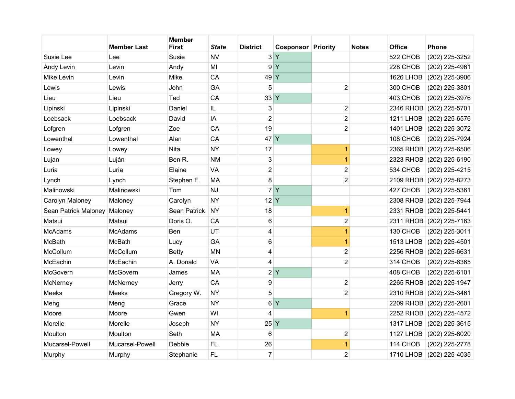|                      | <b>Member Last</b> | <b>Member</b><br><b>First</b> | <b>State</b> | <b>District</b> | <b>Cosponsor Priority</b> |                         | <b>Notes</b> | <b>Office</b>    | <b>Phone</b>             |
|----------------------|--------------------|-------------------------------|--------------|-----------------|---------------------------|-------------------------|--------------|------------------|--------------------------|
| Susie Lee            | Lee                | Susie                         | <b>NV</b>    |                 | 3 <sup>Y</sup>            |                         |              | 522 CHOB         | (202) 225-3252           |
| Andy Levin           | Levin              | Andy                          | MI           | 9               | Ÿ                         |                         |              | 228 CHOB         | (202) 225-4961           |
| Mike Levin           | Levin              | Mike                          | CA           | 49 Y            |                           |                         |              | <b>1626 LHOB</b> | (202) 225-3906           |
| Lewis                | Lewis              | John                          | GA           | 5               |                           | $\overline{2}$          |              | 300 CHOB         | (202) 225-3801           |
| Lieu                 | Lieu               | Ted                           | CA           | 33 Y            |                           |                         |              | 403 CHOB         | (202) 225-3976           |
| Lipinski             | Lipinski           | Daniel                        | IL           | 3               |                           | $\overline{\mathbf{c}}$ |              | 2346 RHOB        | $(202)$ 225-5701         |
| Loebsack             | Loebsack           | David                         | IA           | $\overline{2}$  |                           | $\overline{2}$          |              | <b>1211 LHOB</b> | (202) 225-6576           |
| Lofgren              | Lofgren            | Zoe                           | CA           | 19              |                           | 2                       |              | <b>1401 LHOB</b> | (202) 225-3072           |
| Lowenthal            | Lowenthal          | Alan                          | CA           | 47 Y            |                           |                         |              | 108 CHOB         | (202) 225-7924           |
| Lowey                | Lowey              | Nita                          | <b>NY</b>    | 17              |                           | 1                       |              | 2365 RHOB        | (202) 225-6506           |
| Lujan                | Luján              | Ben R.                        | <b>NM</b>    | 3               |                           | $\overline{1}$          |              |                  | 2323 RHOB (202) 225-6190 |
| Luria                | Luria              | Elaine                        | <b>VA</b>    | $\overline{2}$  |                           | $\overline{2}$          |              | 534 CHOB         | (202) 225-4215           |
| Lynch                | Lynch              | Stephen F.                    | <b>MA</b>    | 8               |                           | $\overline{\mathbf{c}}$ |              | 2109 RHOB        | (202) 225-8273           |
| Malinowski           | Malinowski         | Tom                           | <b>NJ</b>    |                 | 7 <sup>Y</sup>            |                         |              | 427 CHOB         | (202) 225-5361           |
| Carolyn Maloney      | Maloney            | Carolyn                       | <b>NY</b>    | $12$ Y          |                           |                         |              | 2308 RHOB        | $(202)$ 225-7944         |
| Sean Patrick Maloney | Maloney            | <b>Sean Patrick</b>           | <b>NY</b>    | 18              |                           | 1                       |              | 2331 RHOB        | (202) 225-5441           |
| Matsui               | Matsui             | Doris O.                      | CA           | 6               |                           | $\overline{c}$          |              |                  | 2311 RHOB (202) 225-7163 |
| <b>McAdams</b>       | <b>McAdams</b>     | Ben                           | UT           | 4               |                           | $\overline{1}$          |              | 130 CHOB         | (202) 225-3011           |
| McBath               | <b>McBath</b>      | Lucy                          | GA           | 6               |                           | 1                       |              | <b>1513 LHOB</b> | (202) 225-4501           |
| McCollum             | McCollum           | <b>Betty</b>                  | <b>MN</b>    | 4               |                           | $\overline{c}$          |              |                  | 2256 RHOB (202) 225-6631 |
| McEachin             | McEachin           | A. Donald                     | VA           | 4               |                           | $\overline{2}$          |              | 314 CHOB         | (202) 225-6365           |
| McGovern             | McGovern           | James                         | <b>MA</b>    | $\overline{2}$  | $\mathsf{Y}$              |                         |              | 408 CHOB         | (202) 225-6101           |
| McNerney             | McNerney           | Jerry                         | CA           | 9               |                           | $\overline{c}$          |              | <b>2265 RHOB</b> | (202) 225-1947           |
| <b>Meeks</b>         | Meeks              | Gregory W.                    | <b>NY</b>    | 5               |                           | $\overline{2}$          |              | 2310 RHOB        | (202) 225-3461           |
| Meng                 | Meng               | Grace                         | <b>NY</b>    | 6               | $\mathsf{Y}$              |                         |              |                  | 2209 RHOB (202) 225-2601 |
| Moore                | Moore              | Gwen                          | WI           | 4               |                           | 1                       |              |                  | 2252 RHOB (202) 225-4572 |
| Morelle              | Morelle            | Joseph                        | <b>NY</b>    | 25              | Ÿ                         |                         |              | <b>1317 LHOB</b> | (202) 225-3615           |
| Moulton              | Moulton            | Seth                          | <b>MA</b>    | 6               |                           | $\overline{2}$          |              | <b>1127 LHOB</b> | $(202)$ 225-8020         |
| Mucarsel-Powell      | Mucarsel-Powell    | Debbie                        | FL           | 26              |                           | 1                       |              | 114 CHOB         | (202) 225-2778           |
| Murphy               | Murphy             | Stephanie                     | <b>FL</b>    | $\overline{7}$  |                           | $\overline{2}$          |              |                  | 1710 LHOB (202) 225-4035 |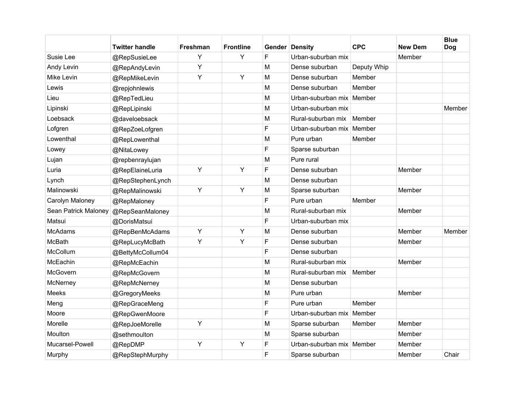|                      | <b>Twitter handle</b> | Freshman | <b>Frontline</b> |   | <b>Gender Density</b>     | <b>CPC</b>  | <b>New Dem</b> | <b>Blue</b><br><b>Dog</b> |
|----------------------|-----------------------|----------|------------------|---|---------------------------|-------------|----------------|---------------------------|
| Susie Lee            | @RepSusieLee          | Y        | Y                | F | Urban-suburban mix        |             | Member         |                           |
| Andy Levin           | @RepAndyLevin         | Y        |                  | M | Dense suburban            | Deputy Whip |                |                           |
| Mike Levin           | @RepMikeLevin         | Y        | Y                | M | Dense suburban            | Member      |                |                           |
| Lewis                | @repjohnlewis         |          |                  | M | Dense suburban            | Member      |                |                           |
| Lieu                 | @RepTedLieu           |          |                  | M | Urban-suburban mix Member |             |                |                           |
| Lipinski             | @RepLipinski          |          |                  | M | Urban-suburban mix        |             |                | Member                    |
| Loebsack             | @daveloebsack         |          |                  | M | Rural-suburban mix        | Member      |                |                           |
| Lofgren              | @RepZoeLofgren        |          |                  | F | Urban-suburban mix        | Member      |                |                           |
| Lowenthal            | @RepLowenthal         |          |                  | M | Pure urban                | Member      |                |                           |
| Lowey                | @NitaLowey            |          |                  | F | Sparse suburban           |             |                |                           |
| Lujan                | @repbenraylujan       |          |                  | M | Pure rural                |             |                |                           |
| Luria                | @RepElaineLuria       | Y        | Υ                | F | Dense suburban            |             | Member         |                           |
| Lynch                | @RepStephenLynch      |          |                  | M | Dense suburban            |             |                |                           |
| Malinowski           | @RepMalinowski        | Y        | Y                | M | Sparse suburban           |             | Member         |                           |
| Carolyn Maloney      | @RepMaloney           |          |                  | F | Pure urban                | Member      |                |                           |
| Sean Patrick Maloney | @RepSeanMaloney       |          |                  | M | Rural-suburban mix        |             | Member         |                           |
| Matsui               | @DorisMatsui          |          |                  | F | Urban-suburban mix        |             |                |                           |
| <b>McAdams</b>       | @RepBenMcAdams        | Y        | Y                | M | Dense suburban            |             | Member         | Member                    |
| McBath               | @RepLucyMcBath        | Y        | Y                | F | Dense suburban            |             | Member         |                           |
| McCollum             | @BettyMcCollum04      |          |                  | F | Dense suburban            |             |                |                           |
| McEachin             | @RepMcEachin          |          |                  | M | Rural-suburban mix        |             | Member         |                           |
| McGovern             | @RepMcGovern          |          |                  | M | Rural-suburban mix        | Member      |                |                           |
| McNerney             | @RepMcNerney          |          |                  | M | Dense suburban            |             |                |                           |
| Meeks                | @GregoryMeeks         |          |                  | M | Pure urban                |             | Member         |                           |
| Meng                 | @RepGraceMeng         |          |                  | F | Pure urban                | Member      |                |                           |
| Moore                | @RepGwenMoore         |          |                  | F | Urban-suburban mix Member |             |                |                           |
| Morelle              | @RepJoeMorelle        | Y        |                  | M | Sparse suburban           | Member      | Member         |                           |
| Moulton              | @sethmoulton          |          |                  | M | Sparse suburban           |             | Member         |                           |
| Mucarsel-Powell      | @RepDMP               | Y        | Υ                | F | Urban-suburban mix Member |             | Member         |                           |
| Murphy               | @RepStephMurphy       |          |                  | F | Sparse suburban           |             | Member         | Chair                     |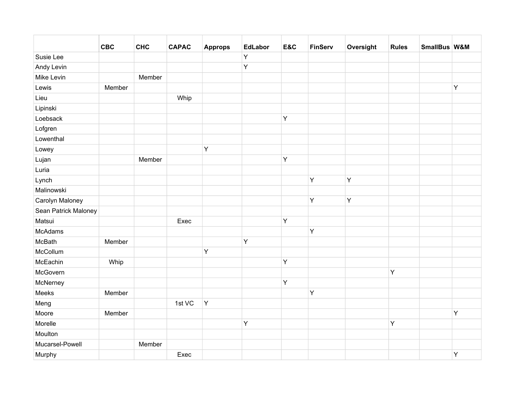|                      | <b>CBC</b> | <b>CHC</b> | <b>CAPAC</b> | <b>Approps</b> | <b>EdLabor</b> | E&C | <b>FinServ</b> | Oversight | <b>Rules</b> | SmallBus W&M |   |
|----------------------|------------|------------|--------------|----------------|----------------|-----|----------------|-----------|--------------|--------------|---|
| Susie Lee            |            |            |              |                | Y              |     |                |           |              |              |   |
| Andy Levin           |            |            |              |                | Y              |     |                |           |              |              |   |
| Mike Levin           |            | Member     |              |                |                |     |                |           |              |              |   |
| Lewis                | Member     |            |              |                |                |     |                |           |              |              | Y |
| Lieu                 |            |            | Whip         |                |                |     |                |           |              |              |   |
| Lipinski             |            |            |              |                |                |     |                |           |              |              |   |
| Loebsack             |            |            |              |                |                | Y   |                |           |              |              |   |
| Lofgren              |            |            |              |                |                |     |                |           |              |              |   |
| Lowenthal            |            |            |              |                |                |     |                |           |              |              |   |
| Lowey                |            |            |              | Y              |                |     |                |           |              |              |   |
| Lujan                |            | Member     |              |                |                | Y   |                |           |              |              |   |
| Luria                |            |            |              |                |                |     |                |           |              |              |   |
| Lynch                |            |            |              |                |                |     | Υ              | Y         |              |              |   |
| Malinowski           |            |            |              |                |                |     |                |           |              |              |   |
| Carolyn Maloney      |            |            |              |                |                |     | Υ              | Y         |              |              |   |
| Sean Patrick Maloney |            |            |              |                |                |     |                |           |              |              |   |
| Matsui               |            |            | Exec         |                |                | Y   |                |           |              |              |   |
| <b>McAdams</b>       |            |            |              |                |                |     | Υ              |           |              |              |   |
| McBath               | Member     |            |              |                | Y              |     |                |           |              |              |   |
| McCollum             |            |            |              | Y              |                |     |                |           |              |              |   |
| McEachin             | Whip       |            |              |                |                | Y   |                |           |              |              |   |
| McGovern             |            |            |              |                |                |     |                |           | Y            |              |   |
| McNerney             |            |            |              |                |                | Y   |                |           |              |              |   |
| Meeks                | Member     |            |              |                |                |     | Υ              |           |              |              |   |
| Meng                 |            |            | 1st VC       | Y              |                |     |                |           |              |              |   |
| Moore                | Member     |            |              |                |                |     |                |           |              |              | Y |
| Morelle              |            |            |              |                | Y              |     |                |           | Y            |              |   |
| Moulton              |            |            |              |                |                |     |                |           |              |              |   |
| Mucarsel-Powell      |            | Member     |              |                |                |     |                |           |              |              |   |
| Murphy               |            |            | Exec         |                |                |     |                |           |              |              | Y |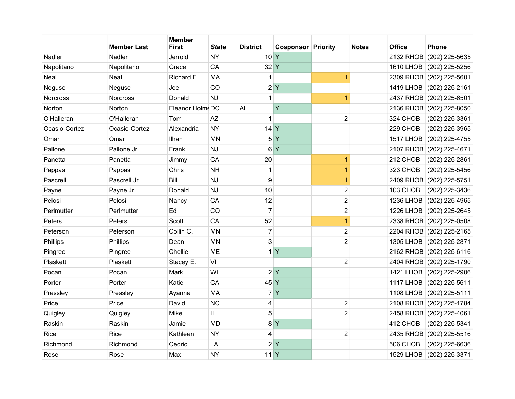|               | <b>Member Last</b> | <b>Member</b><br><b>First</b> | <b>State</b>  | <b>District</b> | <b>Cosponsor Priority</b> |                         | <b>Notes</b> | <b>Office</b>    | <b>Phone</b>             |
|---------------|--------------------|-------------------------------|---------------|-----------------|---------------------------|-------------------------|--------------|------------------|--------------------------|
| Nadler        | Nadler             | Jerrold                       | <b>NY</b>     | 10 <sup>Y</sup> |                           |                         |              | 2132 RHOB        | (202) 225-5635           |
| Napolitano    | Napolitano         | Grace                         | CA            | 32 Y            |                           |                         |              | <b>1610 LHOB</b> | (202) 225-5256           |
| Neal          | Neal               | Richard E.                    | <b>MA</b>     | $\mathbf{1}$    |                           | 1                       |              |                  | 2309 RHOB (202) 225-5601 |
| Neguse        | Neguse             | Joe                           | CO            |                 | 2 Y                       |                         |              | <b>1419 LHOB</b> | (202) 225-2161           |
| Norcross      | <b>Norcross</b>    | Donald                        | <b>NJ</b>     | 1               |                           | 1                       |              | <b>2437 RHOB</b> | (202) 225-6501           |
| Norton        | Norton             | Eleanor Holm DC               |               | <b>AL</b>       | Ÿ                         |                         |              |                  | 2136 RHOB (202) 225-8050 |
| O'Halleran    | O'Halleran         | Tom                           | AZ            | 1               |                           | $\overline{2}$          |              | 324 CHOB         | (202) 225-3361           |
| Ocasio-Cortez | Ocasio-Cortez      | Alexandria                    | <b>NY</b>     | 14              | Y                         |                         |              | 229 CHOB         | (202) 225-3965           |
| Omar          | Omar               | Ilhan                         | <b>MN</b>     | 5               | Y                         |                         |              | <b>1517 LHOB</b> | (202) 225-4755           |
| Pallone       | Pallone Jr.        | Frank                         | <b>NJ</b>     | 6               | Y                         |                         |              | 2107 RHOB        | $(202)$ 225-4671         |
| Panetta       | Panetta            | Jimmy                         | CA            | 20              |                           | 1                       |              | 212 CHOB         | (202) 225-2861           |
| Pappas        | Pappas             | Chris                         | <b>NH</b>     | 1               |                           | 1                       |              | 323 CHOB         | (202) 225-5456           |
| Pascrell      | Pascrell Jr.       | Bill                          | <b>NJ</b>     | 9               |                           | 1                       |              | 2409 RHOB        | (202) 225-5751           |
| Payne         | Payne Jr.          | Donald                        | <b>NJ</b>     | 10              |                           | 2                       |              | 103 CHOB         | (202) 225-3436           |
| Pelosi        | Pelosi             | Nancy                         | CA            | 12              |                           | $\overline{c}$          |              | <b>1236 LHOB</b> | (202) 225-4965           |
| Perlmutter    | Perlmutter         | Ed                            | CO            | $\overline{7}$  |                           | $\overline{\mathbf{c}}$ |              | <b>1226 LHOB</b> | (202) 225-2645           |
| Peters        | Peters             | Scott                         | CA            | 52              |                           | $\overline{1}$          |              |                  | 2338 RHOB (202) 225-0508 |
| Peterson      | Peterson           | Collin C.                     | <b>MN</b>     | $\overline{7}$  |                           | $\overline{c}$          |              |                  | 2204 RHOB (202) 225-2165 |
| Phillips      | Phillips           | Dean                          | <b>MN</b>     | 3               |                           | $\overline{2}$          |              | <b>1305 LHOB</b> | (202) 225-2871           |
| Pingree       | Pingree            | Chellie                       | <b>ME</b>     | $\mathbf{1}$    | Y                         |                         |              | 2162 RHOB        | $(202)$ 225-6116         |
| Plaskett      | Plaskett           | Stacey E.                     | VI            |                 |                           | $\overline{2}$          |              |                  | 2404 RHOB (202) 225-1790 |
| Pocan         | Pocan              | Mark                          | WI            |                 | 2Y                        |                         |              | <b>1421 LHOB</b> | $(202)$ 225-2906         |
| Porter        | Porter             | Katie                         | CA            | 45 Y            |                           |                         |              | <b>1117 LHOB</b> | (202) 225-5611           |
| Pressley      | Pressley           | Ayanna                        | <b>MA</b>     | $\overline{7}$  | Y                         |                         |              | <b>1108 LHOB</b> | (202) 225-5111           |
| Price         | Price              | David                         | <b>NC</b>     | 4               |                           | $\overline{\mathbf{c}}$ |              |                  | 2108 RHOB (202) 225-1784 |
| Quigley       | Quigley            | Mike                          | $\mathsf{IL}$ | 5               |                           | $\overline{2}$          |              |                  | 2458 RHOB (202) 225-4061 |
| Raskin        | Raskin             | Jamie                         | <b>MD</b>     | 8               | Y                         |                         |              | 412 CHOB         | (202) 225-5341           |
| <b>Rice</b>   | <b>Rice</b>        | Kathleen                      | <b>NY</b>     | 4               |                           | $\overline{2}$          |              |                  | 2435 RHOB (202) 225-5516 |
| Richmond      | Richmond           | Cedric                        | LA            | $\overline{2}$  | Y                         |                         |              | 506 CHOB         | (202) 225-6636           |
| Rose          | Rose               | Max                           | <b>NY</b>     | 11 Y            |                           |                         |              |                  | 1529 LHOB (202) 225-3371 |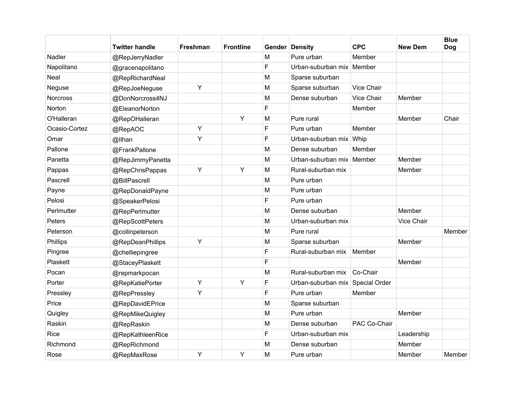|               | <b>Twitter handle</b> | Freshman | <b>Frontline</b> |   | Gender Density                   | <b>CPC</b>   | <b>New Dem</b> | <b>Blue</b><br><b>Dog</b> |
|---------------|-----------------------|----------|------------------|---|----------------------------------|--------------|----------------|---------------------------|
| Nadler        | @RepJerryNadler       |          |                  | M | Pure urban                       | Member       |                |                           |
| Napolitano    | @gracenapolitano      |          |                  | F | Urban-suburban mix Member        |              |                |                           |
| Neal          | @RepRichardNeal       |          |                  | M | Sparse suburban                  |              |                |                           |
| Neguse        | @RepJoeNeguse         | Y        |                  | M | Sparse suburban                  | Vice Chair   |                |                           |
| Norcross      | @DonNorcross4NJ       |          |                  | M | Dense suburban                   | Vice Chair   | Member         |                           |
| Norton        | @EleanorNorton        |          |                  | F |                                  | Member       |                |                           |
| O'Halleran    | @RepOHalleran         |          | Υ                | M | Pure rural                       |              | Member         | Chair                     |
| Ocasio-Cortez | @RepAOC               | Y        |                  | F | Pure urban                       | Member       |                |                           |
| Omar          | @llhan                | Y        |                  | F | Urban-suburban mix Whip          |              |                |                           |
| Pallone       | @FrankPallone         |          |                  | M | Dense suburban                   | Member       |                |                           |
| Panetta       | @RepJimmyPanetta      |          |                  | M | Urban-suburban mix Member        |              | Member         |                           |
| Pappas        | @RepChrisPappas       | Y        | Υ                | M | Rural-suburban mix               |              | Member         |                           |
| Pascrell      | @BillPascrell         |          |                  | M | Pure urban                       |              |                |                           |
| Payne         | @RepDonaldPayne       |          |                  | M | Pure urban                       |              |                |                           |
| Pelosi        | @SpeakerPelosi        |          |                  | F | Pure urban                       |              |                |                           |
| Perlmutter    | @RepPerlmutter        |          |                  | M | Dense suburban                   |              | Member         |                           |
| Peters        | @RepScottPeters       |          |                  | M | Urban-suburban mix               |              | Vice Chair     |                           |
| Peterson      | @collinpeterson       |          |                  | M | Pure rural                       |              |                | Member                    |
| Phillips      | @RepDeanPhillips      | Y        |                  | M | Sparse suburban                  |              | Member         |                           |
| Pingree       | @chelliepingree       |          |                  | F | Rural-suburban mix               | Member       |                |                           |
| Plaskett      | @StaceyPlaskett       |          |                  | F |                                  |              | Member         |                           |
| Pocan         | @repmarkpocan         |          |                  | M | Rural-suburban mix               | Co-Chair     |                |                           |
| Porter        | @RepKatiePorter       | Υ        | Y                | F | Urban-suburban mix Special Order |              |                |                           |
| Pressley      | @RepPressley          | Y        |                  | F | Pure urban                       | Member       |                |                           |
| Price         | @RepDavidEPrice       |          |                  | M | Sparse suburban                  |              |                |                           |
| Quigley       | @RepMikeQuigley       |          |                  | M | Pure urban                       |              | Member         |                           |
| Raskin        | @RepRaskin            |          |                  | M | Dense suburban                   | PAC Co-Chair |                |                           |
| Rice          | @RepKathleenRice      |          |                  | F | Urban-suburban mix               |              | Leadership     |                           |
| Richmond      | @RepRichmond          |          |                  | M | Dense suburban                   |              | Member         |                           |
| Rose          | @RepMaxRose           | Y        | Υ                | M | Pure urban                       |              | Member         | Member                    |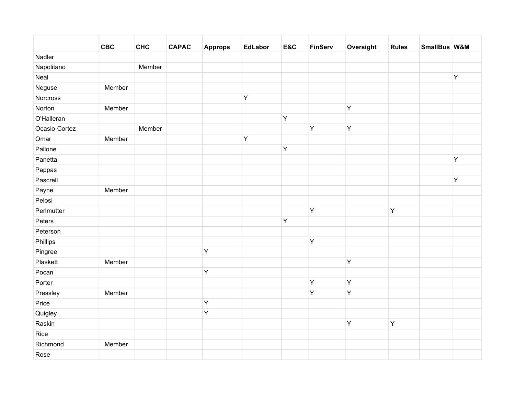|               | <b>CBC</b> | <b>CHC</b> | <b>CAPAC</b> | <b>Approps</b> | <b>EdLabor</b> | E&C | <b>FinServ</b> | Oversight    | <b>Rules</b> | SmallBus W&M |   |
|---------------|------------|------------|--------------|----------------|----------------|-----|----------------|--------------|--------------|--------------|---|
| Nadler        |            |            |              |                |                |     |                |              |              |              |   |
| Napolitano    |            | Member     |              |                |                |     |                |              |              |              |   |
| Neal          |            |            |              |                |                |     |                |              |              |              | Y |
| Neguse        | Member     |            |              |                |                |     |                |              |              |              |   |
| Norcross      |            |            |              |                | $\sf Y$        |     |                |              |              |              |   |
| Norton        | Member     |            |              |                |                |     |                | Y            |              |              |   |
| O'Halleran    |            |            |              |                |                | Y   |                |              |              |              |   |
| Ocasio-Cortez |            | Member     |              |                |                |     | Υ              | $\mathsf{Y}$ |              |              |   |
| Omar          | Member     |            |              |                | Y              |     |                |              |              |              |   |
| Pallone       |            |            |              |                |                | Υ   |                |              |              |              |   |
| Panetta       |            |            |              |                |                |     |                |              |              |              | Y |
| Pappas        |            |            |              |                |                |     |                |              |              |              |   |
| Pascrell      |            |            |              |                |                |     |                |              |              |              | Y |
| Payne         | Member     |            |              |                |                |     |                |              |              |              |   |
| Pelosi        |            |            |              |                |                |     |                |              |              |              |   |
| Perlmutter    |            |            |              |                |                |     | Υ              |              | Y            |              |   |
| Peters        |            |            |              |                |                | Υ   |                |              |              |              |   |
| Peterson      |            |            |              |                |                |     |                |              |              |              |   |
| Phillips      |            |            |              |                |                |     | Υ              |              |              |              |   |
| Pingree       |            |            |              | $\mathsf Y$    |                |     |                |              |              |              |   |
| Plaskett      | Member     |            |              |                |                |     |                | Y            |              |              |   |
| Pocan         |            |            |              | $\mathsf Y$    |                |     |                |              |              |              |   |
| Porter        |            |            |              |                |                |     | Υ              | Y            |              |              |   |
| Pressley      | Member     |            |              |                |                |     | Υ              | Y            |              |              |   |
| Price         |            |            |              | Y              |                |     |                |              |              |              |   |
| Quigley       |            |            |              | $\mathsf Y$    |                |     |                |              |              |              |   |
| Raskin        |            |            |              |                |                |     |                | Y            | Y            |              |   |
| Rice          |            |            |              |                |                |     |                |              |              |              |   |
| Richmond      | Member     |            |              |                |                |     |                |              |              |              |   |
| Rose          |            |            |              |                |                |     |                |              |              |              |   |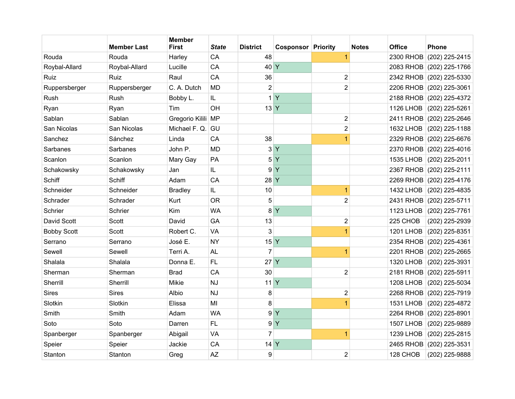|                    | <b>Member Last</b> | <b>Member</b><br><b>First</b> | <b>State</b>  | <b>District</b> | <b>Cosponsor Priority</b> |                         | <b>Notes</b> | <b>Office</b>    | <b>Phone</b>             |
|--------------------|--------------------|-------------------------------|---------------|-----------------|---------------------------|-------------------------|--------------|------------------|--------------------------|
| Rouda              | Rouda              | Harley                        | CA            | 48              |                           | 1                       |              | <b>2300 RHOB</b> | (202) 225-2415           |
| Roybal-Allard      | Roybal-Allard      | Lucille                       | CA            | 40 Y            |                           |                         |              |                  | 2083 RHOB (202) 225-1766 |
| Ruiz               | Ruiz               | Raul                          | CA            | 36              |                           | $\sqrt{2}$              |              |                  | 2342 RHOB (202) 225-5330 |
| Ruppersberger      | Ruppersberger      | C. A. Dutch                   | <b>MD</b>     | $\overline{2}$  |                           | $\overline{2}$          |              | 2206 RHOB        | $(202)$ 225-3061         |
| Rush               | Rush               | Bobby L.                      | IL            | 1               | Y                         |                         |              | 2188 RHOB        | (202) 225-4372           |
| Ryan               | Ryan               | Tim                           | OH            | 13 <sup>Y</sup> |                           |                         |              | <b>1126 LHOB</b> | (202) 225-5261           |
| Sablan             | Sablan             | Gregorio Kilili MP            |               |                 |                           | $\overline{\mathbf{c}}$ |              |                  | 2411 RHOB (202) 225-2646 |
| San Nicolas        | San Nicolas        | Michael F. Q.                 | GU            |                 |                           | $\overline{c}$          |              | 1632 LHOB        | (202) 225-1188           |
| Sanchez            | Sánchez            | Linda                         | CA            | 38              |                           | $\overline{1}$          |              |                  | 2329 RHOB (202) 225-6676 |
| Sarbanes           | Sarbanes           | John P.                       | <b>MD</b>     | 3               | Y                         |                         |              |                  | 2370 RHOB (202) 225-4016 |
| Scanlon            | Scanlon            | Mary Gay                      | PA            | 5               | Y                         |                         |              | <b>1535 LHOB</b> | (202) 225-2011           |
| Schakowsky         | Schakowsky         | Jan                           | IL            | 9               | Y                         |                         |              | 2367 RHOB        | $(202)$ 225-2111         |
| Schiff             | Schiff             | Adam                          | CA            | 28 Y            |                           |                         |              | <b>2269 RHOB</b> | (202) 225-4176           |
| Schneider          | Schneider          | <b>Bradley</b>                | $\mathsf{IL}$ | 10              |                           | 1                       |              | 1432 LHOB        | $(202)$ 225-4835         |
| Schrader           | Schrader           | Kurt                          | <b>OR</b>     | 5               |                           | $\overline{2}$          |              |                  | 2431 RHOB (202) 225-5711 |
| Schrier            | Schrier            | Kim                           | <b>WA</b>     | 8               | Y                         |                         |              | <b>1123 LHOB</b> | (202) 225-7761           |
| David Scott        | Scott              | David                         | GA            | 13              |                           | $\overline{2}$          |              | 225 CHOB         | (202) 225-2939           |
| <b>Bobby Scott</b> | Scott              | Robert C.                     | <b>VA</b>     | 3               |                           | 1                       |              | <b>1201 LHOB</b> | (202) 225-8351           |
| Serrano            | Serrano            | José E.                       | <b>NY</b>     | 15 <sup>Y</sup> |                           |                         |              | 2354 RHOB        | $(202)$ 225-4361         |
| Sewell             | Sewell             | Terri A.                      | <b>AL</b>     | $\overline{7}$  |                           | $\overline{1}$          |              |                  | 2201 RHOB (202) 225-2665 |
| Shalala            | Shalala            | Donna E.                      | <b>FL</b>     | $27$ Y          |                           |                         |              | <b>1320 LHOB</b> | (202) 225-3931           |
| Sherman            | Sherman            | <b>Brad</b>                   | CA            | 30              |                           | $\overline{2}$          |              |                  | 2181 RHOB (202) 225-5911 |
| Sherrill           | Sherrill           | Mikie                         | <b>NJ</b>     | 11 Y            |                           |                         |              | <b>1208 LHOB</b> | (202) 225-5034           |
| <b>Sires</b>       | <b>Sires</b>       | Albio                         | <b>NJ</b>     | 8               |                           | $\overline{2}$          |              | <b>2268 RHOB</b> | (202) 225-7919           |
| Slotkin            | Slotkin            | Elissa                        | MI            | $\bf 8$         |                           | $\overline{1}$          |              | <b>1531 LHOB</b> | (202) 225-4872           |
| Smith              | Smith              | Adam                          | <b>WA</b>     | 9               | Y                         |                         |              | <b>2264 RHOB</b> | $(202)$ 225-8901         |
| Soto               | Soto               | Darren                        | FL            | 9               | Y                         |                         |              | <b>1507 LHOB</b> | (202) 225-9889           |
| Spanberger         | Spanberger         | Abigail                       | VA            | $\overline{7}$  |                           | $\overline{1}$          |              | <b>1239 LHOB</b> | (202) 225-2815           |
| Speier             | Speier             | Jackie                        | CA            | $14$ Y          |                           |                         |              | 2465 RHOB        | (202) 225-3531           |
| Stanton            | Stanton            | Greg                          | <b>AZ</b>     | 9               |                           | $\overline{2}$          |              | 128 CHOB         | (202) 225-9888           |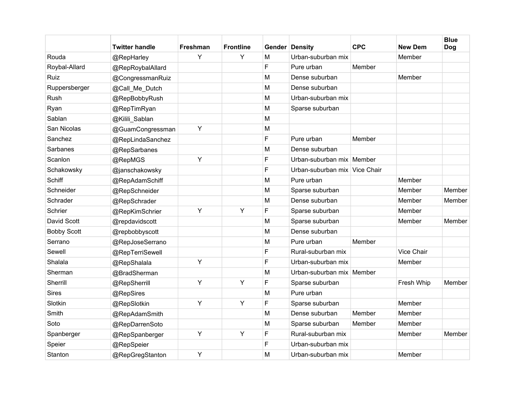|                    | Twitter handle   | Freshman | <b>Frontline</b> |   | <b>Gender Density</b>         | <b>CPC</b> | <b>New Dem</b>    | <b>Blue</b><br><b>Dog</b> |
|--------------------|------------------|----------|------------------|---|-------------------------------|------------|-------------------|---------------------------|
| Rouda              | @RepHarley       | Y        | Y                | M | Urban-suburban mix            |            | Member            |                           |
| Roybal-Allard      | @RepRoybalAllard |          |                  | F | Pure urban                    | Member     |                   |                           |
| Ruiz               | @CongressmanRuiz |          |                  | M | Dense suburban                |            | Member            |                           |
| Ruppersberger      | @Call_Me_Dutch   |          |                  | M | Dense suburban                |            |                   |                           |
| Rush               | @RepBobbyRush    |          |                  | M | Urban-suburban mix            |            |                   |                           |
| Ryan               | @RepTimRyan      |          |                  | M | Sparse suburban               |            |                   |                           |
| Sablan             | @Kilili Sablan   |          |                  | M |                               |            |                   |                           |
| San Nicolas        | @GuamCongressman | Y        |                  | M |                               |            |                   |                           |
| Sanchez            | @RepLindaSanchez |          |                  | F | Pure urban                    | Member     |                   |                           |
| Sarbanes           | @RepSarbanes     |          |                  | M | Dense suburban                |            |                   |                           |
| Scanlon            | @RepMGS          | Y        |                  | F | Urban-suburban mix   Member   |            |                   |                           |
| Schakowsky         | @janschakowsky   |          |                  | F | Urban-suburban mix Vice Chair |            |                   |                           |
| Schiff             | @RepAdamSchiff   |          |                  | M | Pure urban                    |            | Member            |                           |
| Schneider          | @RepSchneider    |          |                  | M | Sparse suburban               |            | Member            | Member                    |
| Schrader           | @RepSchrader     |          |                  | M | Dense suburban                |            | Member            | Member                    |
| Schrier            | @RepKimSchrier   | Y        | Y                | F | Sparse suburban               |            | Member            |                           |
| David Scott        | @repdavidscott   |          |                  | M | Sparse suburban               |            | Member            | Member                    |
| <b>Bobby Scott</b> | @repbobbyscott   |          |                  | M | Dense suburban                |            |                   |                           |
| Serrano            | @RepJoseSerrano  |          |                  | M | Pure urban                    | Member     |                   |                           |
| Sewell             | @RepTerriSewell  |          |                  | F | Rural-suburban mix            |            | <b>Vice Chair</b> |                           |
| Shalala            | @RepShalala      | Y        |                  | F | Urban-suburban mix            |            | Member            |                           |
| Sherman            | @BradSherman     |          |                  | M | Urban-suburban mix   Member   |            |                   |                           |
| Sherrill           | @RepSherrill     | Y        | Y                | F | Sparse suburban               |            | Fresh Whip        | Member                    |
| <b>Sires</b>       | @RepSires        |          |                  | M | Pure urban                    |            |                   |                           |
| Slotkin            | @RepSlotkin      | Y        | Y                | F | Sparse suburban               |            | Member            |                           |
| Smith              | @RepAdamSmith    |          |                  | M | Dense suburban                | Member     | Member            |                           |
| Soto               | @RepDarrenSoto   |          |                  | M | Sparse suburban               | Member     | Member            |                           |
| Spanberger         | @RepSpanberger   | Y        | Y                | F | Rural-suburban mix            |            | Member            | Member                    |
| Speier             | @RepSpeier       |          |                  | F | Urban-suburban mix            |            |                   |                           |
| Stanton            | @RepGregStanton  | Y        |                  | M | Urban-suburban mix            |            | Member            |                           |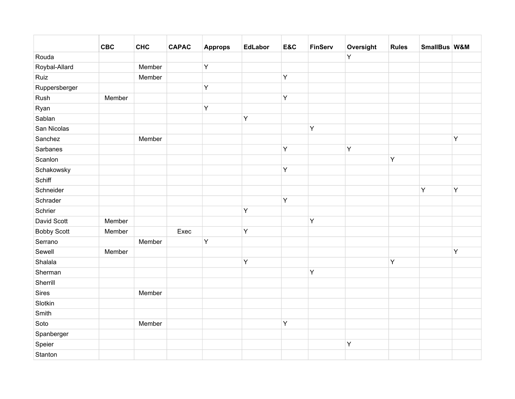|                    | <b>CBC</b> | <b>CHC</b> | <b>CAPAC</b> | <b>Approps</b> | <b>EdLabor</b> | E&C         | <b>FinServ</b> | Oversight   | <b>Rules</b> | SmallBus W&M |   |
|--------------------|------------|------------|--------------|----------------|----------------|-------------|----------------|-------------|--------------|--------------|---|
| Rouda              |            |            |              |                |                |             |                | Y           |              |              |   |
| Roybal-Allard      |            | Member     |              | Y              |                |             |                |             |              |              |   |
| Ruiz               |            | Member     |              |                |                | Υ           |                |             |              |              |   |
| Ruppersberger      |            |            |              | Y              |                |             |                |             |              |              |   |
| Rush               | Member     |            |              |                |                | Y           |                |             |              |              |   |
| Ryan               |            |            |              | Y              |                |             |                |             |              |              |   |
| Sablan             |            |            |              |                | $\mathsf Y$    |             |                |             |              |              |   |
| San Nicolas        |            |            |              |                |                |             | Y              |             |              |              |   |
| Sanchez            |            | Member     |              |                |                |             |                |             |              |              | Y |
| Sarbanes           |            |            |              |                |                | Υ           |                | $\mathsf Y$ |              |              |   |
| Scanlon            |            |            |              |                |                |             |                |             | Y            |              |   |
| Schakowsky         |            |            |              |                |                | $\mathsf Y$ |                |             |              |              |   |
| Schiff             |            |            |              |                |                |             |                |             |              |              |   |
| Schneider          |            |            |              |                |                |             |                |             |              | Y            | Y |
| Schrader           |            |            |              |                |                | $\mathsf Y$ |                |             |              |              |   |
| Schrier            |            |            |              |                | Y              |             |                |             |              |              |   |
| David Scott        | Member     |            |              |                |                |             | Y              |             |              |              |   |
| <b>Bobby Scott</b> | Member     |            | Exec         |                | Y              |             |                |             |              |              |   |
| Serrano            |            | Member     |              | Y              |                |             |                |             |              |              |   |
| Sewell             | Member     |            |              |                |                |             |                |             |              |              | Y |
| Shalala            |            |            |              |                | Y              |             |                |             | Y            |              |   |
| Sherman            |            |            |              |                |                |             | Y              |             |              |              |   |
| Sherrill           |            |            |              |                |                |             |                |             |              |              |   |
| Sires              |            | Member     |              |                |                |             |                |             |              |              |   |
| Slotkin            |            |            |              |                |                |             |                |             |              |              |   |
| Smith              |            |            |              |                |                |             |                |             |              |              |   |
| Soto               |            | Member     |              |                |                | Υ           |                |             |              |              |   |
| Spanberger         |            |            |              |                |                |             |                |             |              |              |   |
| Speier             |            |            |              |                |                |             |                | Y           |              |              |   |
| Stanton            |            |            |              |                |                |             |                |             |              |              |   |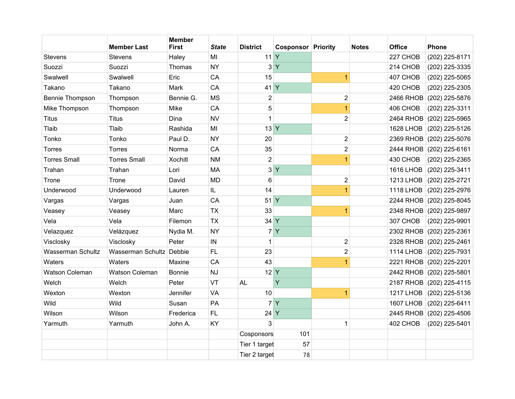|                          | <b>Member Last</b>       | <b>Member</b><br><b>First</b> | <b>State</b> | <b>District</b> | <b>Cosponsor Priority</b> |                | <b>Notes</b> | <b>Office</b>    | <b>Phone</b>             |
|--------------------------|--------------------------|-------------------------------|--------------|-----------------|---------------------------|----------------|--------------|------------------|--------------------------|
| Stevens                  | <b>Stevens</b>           | Haley                         | MI           | 11 <sup>Y</sup> |                           |                |              | 227 CHOB         | (202) 225-8171           |
| Suozzi                   | Suozzi                   | Thomas                        | <b>NY</b>    | 3 <sup>1</sup>  | Y                         |                |              | 214 CHOB         | (202) 225-3335           |
| Swalwell                 | Swalwell                 | Eric                          | CA           | 15              |                           | $\overline{1}$ |              | 407 CHOB         | (202) 225-5065           |
| Takano                   | Takano                   | Mark                          | CA           | $41$ Y          |                           |                |              | 420 CHOB         | (202) 225-2305           |
| <b>Bennie Thompson</b>   | Thompson                 | Bennie G.                     | <b>MS</b>    | $\overline{c}$  |                           | $\overline{2}$ |              | 2466 RHOB        | (202) 225-5876           |
| Mike Thompson            | Thompson                 | Mike                          | CA           | 5               |                           | $\overline{1}$ |              | 406 CHOB         | (202) 225-3311           |
| <b>Titus</b>             | Titus                    | Dina                          | <b>NV</b>    | $\mathbf{1}$    |                           | $\overline{2}$ |              | 2464 RHOB        | (202) 225-5965           |
| Tlaib                    | Tlaib                    | Rashida                       | MI           | 13 <sup>Y</sup> |                           |                |              | <b>1628 LHOB</b> | (202) 225-5126           |
| Tonko                    | Tonko                    | Paul D.                       | <b>NY</b>    | 20              |                           | $\overline{2}$ |              |                  | 2369 RHOB (202) 225-5076 |
| Torres                   | <b>Torres</b>            | Norma                         | CA           | 35              |                           | $\overline{c}$ |              | 2444 RHOB        | (202) 225-6161           |
| <b>Torres Small</b>      | <b>Torres Small</b>      | Xochitl                       | <b>NM</b>    | $\overline{2}$  |                           | $\overline{1}$ |              | 430 CHOB         | (202) 225-2365           |
| Trahan                   | Trahan                   | Lori                          | <b>MA</b>    | 3               | $\overline{Y}$            |                |              | 1616 LHOB        | (202) 225-3411           |
| Trone                    | Trone                    | David                         | <b>MD</b>    | 6               |                           | $\overline{2}$ |              | <b>1213 LHOB</b> | (202) 225-2721           |
| Underwood                | Underwood                | Lauren                        | IL           | 14              |                           | $\overline{1}$ |              | <b>1118 LHOB</b> | (202) 225-2976           |
| Vargas                   | Vargas                   | Juan                          | CA           | 51 <sup>Y</sup> |                           |                |              | 2244 RHOB        | $(202)$ 225-8045         |
| Veasey                   | Veasey                   | Marc                          | <b>TX</b>    | 33              |                           | $\overline{1}$ |              | 2348 RHOB        | (202) 225-9897           |
| Vela                     | Vela                     | Filemon                       | <b>TX</b>    | 34 Y            |                           |                |              | 307 CHOB         | (202) 225-9901           |
| Velazquez                | Velázquez                | Nydia M.                      | <b>NY</b>    | $\overline{7}$  | Y                         |                |              |                  | 2302 RHOB (202) 225-2361 |
| Visclosky                | Visclosky                | Peter                         | IN           | 1               |                           | $\mathbf{2}$   |              |                  | 2328 RHOB (202) 225-2461 |
| <b>Wasserman Schultz</b> | Wasserman Schultz Debbie |                               | <b>FL</b>    | 23              |                           | $\overline{2}$ |              | <b>1114 LHOB</b> | $(202)$ 225-7931         |
| Waters                   | Waters                   | Maxine                        | CA           | 43              |                           | $\overline{1}$ |              | <b>2221 RHOB</b> | $(202)$ 225-2201         |
| <b>Watson Coleman</b>    | Watson Coleman           | <b>Bonnie</b>                 | <b>NJ</b>    | 12 <sup>Y</sup> |                           |                |              |                  | 2442 RHOB (202) 225-5801 |
| Welch                    | Welch                    | Peter                         | VT           | <b>AL</b>       | Ÿ                         |                |              |                  | 2187 RHOB (202) 225-4115 |
| Wexton                   | Wexton                   | Jennifer                      | VA           | 10              |                           | $\overline{1}$ |              | <b>1217 LHOB</b> | $(202)$ 225-5136         |
| Wild                     | Wild                     | Susan                         | PA           |                 | 7Y                        |                |              | <b>1607 LHOB</b> | (202) 225-6411           |
| Wilson                   | Wilson                   | Frederica                     | <b>FL</b>    | $24$ Y          |                           |                |              |                  | 2445 RHOB (202) 225-4506 |
| Yarmuth                  | Yarmuth                  | John A.                       | KY           | 3               |                           | $\mathbf{1}$   |              | 402 CHOB         | (202) 225-5401           |
|                          |                          |                               |              | Cosponsors      | 101                       |                |              |                  |                          |
|                          |                          |                               |              | Tier 1 target   | 57                        |                |              |                  |                          |
|                          |                          |                               |              | Tier 2 target   | 78                        |                |              |                  |                          |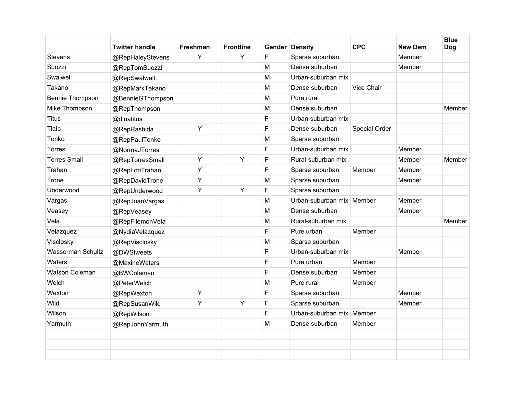|                       | <b>Twitter handle</b> | Freshman | <b>Frontline</b> |   | <b>Gender Density</b>       | <b>CPC</b>    | <b>New Dem</b> | <b>Blue</b><br><b>Dog</b> |
|-----------------------|-----------------------|----------|------------------|---|-----------------------------|---------------|----------------|---------------------------|
| <b>Stevens</b>        | @RepHaleyStevens      | Y        | Y                | F | Sparse suburban             |               | Member         |                           |
| Suozzi                | @RepTomSuozzi         |          |                  | M | Dense suburban              |               | Member         |                           |
| Swalwell              | @RepSwalwell          |          |                  | M | Urban-suburban mix          |               |                |                           |
| Takano                | @RepMarkTakano        |          |                  | M | Dense suburban              | Vice Chair    |                |                           |
| Bennie Thompson       | @BennieGThompson      |          |                  | M | Pure rural                  |               |                |                           |
| Mike Thompson         | @RepThompson          |          |                  | M | Dense suburban              |               |                | Member                    |
| <b>Titus</b>          | @dinatitus            |          |                  | E | Urban-suburban mix          |               |                |                           |
| Tlaib                 | @RepRashida           | Y        |                  | F | Dense suburban              | Special Order |                |                           |
| Tonko                 | @RepPaulTonko         |          |                  | M | Sparse suburban             |               |                |                           |
| <b>Torres</b>         | @NormaJTorres         |          |                  | F | Urban-suburban mix          |               | Member         |                           |
| <b>Torres Small</b>   | @RepTorresSmall       | Y        | Y                | F | Rural-suburban mix          |               | Member         | Member                    |
| Trahan                | @RepLoriTrahan        | Y        |                  | F | Sparse suburban             | Member        | Member         |                           |
| Trone                 | @RepDavidTrone        | Y        |                  | M | Sparse suburban             |               | Member         |                           |
| Underwood             | @RepUnderwood         | Y        | Y                | F | Sparse suburban             |               |                |                           |
| Vargas                | @RepJuanVargas        |          |                  | M | Urban-suburban mix   Member |               | Member         |                           |
| Veasey                | @RepVeasey            |          |                  | M | Dense suburban              |               | Member         |                           |
| Vela                  | @RepFilemonVela       |          |                  | M | Rural-suburban mix          |               |                | Member                    |
| Velazquez             | @NydiaVelazquez       |          |                  | F | Pure urban                  | Member        |                |                           |
| Visclosky             | @RepVisclosky         |          |                  | M | Sparse suburban             |               |                |                           |
| Wasserman Schultz     | @DWStweets            |          |                  | F | Urban-suburban mix          |               | Member         |                           |
| Waters                | @MaxineWaters         |          |                  | F | Pure urban                  | Member        |                |                           |
| <b>Watson Coleman</b> | @BWColeman            |          |                  | F | Dense suburban              | Member        |                |                           |
| Welch                 | @PeterWelch           |          |                  | M | Pure rural                  | Member        |                |                           |
| Wexton                | @RepWexton            | Y        |                  | F | Sparse suburban             |               | Member         |                           |
| Wild                  | @RepSusanWild         | Y        | Y                | F | Sparse suburban             |               | Member         |                           |
| Wilson                | @RepWilson            |          |                  | F | Urban-suburban mix          | Member        |                |                           |
| Yarmuth               | @RepJohnYarmuth       |          |                  | M | Dense suburban              | Member        |                |                           |
|                       |                       |          |                  |   |                             |               |                |                           |
|                       |                       |          |                  |   |                             |               |                |                           |
|                       |                       |          |                  |   |                             |               |                |                           |